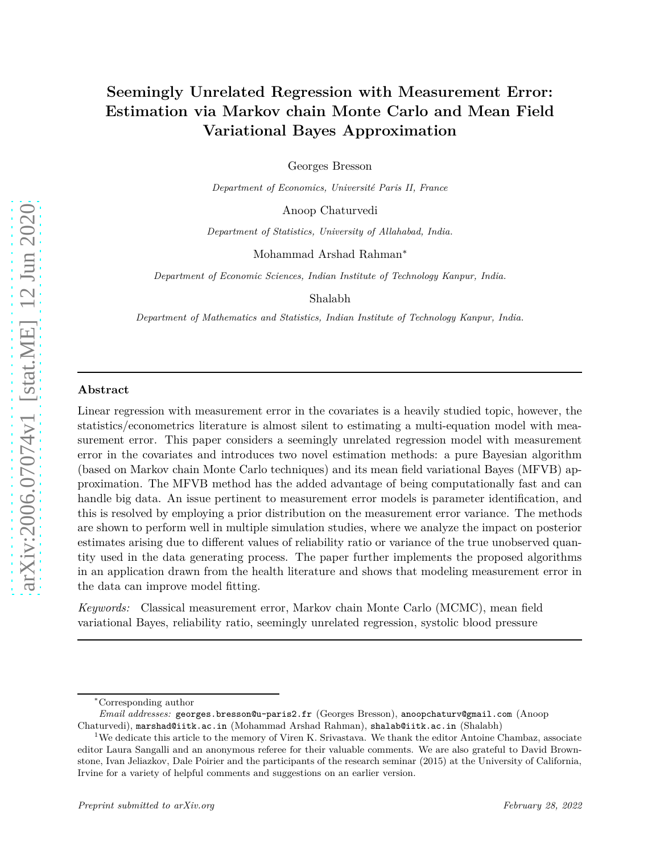# **Seemingly Unrelated Regression with Measurement Error: Estimation via Markov chain Monte Carlo and Mean Field Variational Bayes Approximation**

Georges Bresson

*Department of Economics, Université Paris II, France*

Anoop Chaturvedi

*Department of Statistics, University of Allahabad, India.*

Mohammad Arshad Rahman<sup>∗</sup>

*Department of Economic Sciences, Indian Institute of Technology Kanpur, India.*

Shalabh

*Department of Mathematics and Statistics, Indian Institute of Technology Kanpur, India.*

## **Abstract**

Linear regression with measurement error in the covariates is a heavily studied topic, however, the statistics/econometrics literature is almost silent to estimating a multi-equation model with measurement error. This paper considers a seemingly unrelated regression model with measurement error in the covariates and introduces two novel estimation methods: a pure Bayesian algorithm (based on Markov chain Monte Carlo techniques) and its mean field variational Bayes (MFVB) approximation. The MFVB method has the added advantage of being computationally fast and can handle big data. An issue pertinent to measurement error models is parameter identification, and this is resolved by employing a prior distribution on the measurement error variance. The methods are shown to perform well in multiple simulation studies, where we analyze the impact on posterior estimates arising due to different values of reliability ratio or variance of the true unobserved quantity used in the data generating process. The paper further implements the proposed algorithms in an application drawn from the health literature and shows that modeling measurement error in the data can improve model fitting.

*Keywords:* Classical measurement error, Markov chain Monte Carlo (MCMC), mean field variational Bayes, reliability ratio, seemingly unrelated regression, systolic blood pressure

<sup>∗</sup>Corresponding author

*Email addresses:* georges.bresson@u-paris2.fr (Georges Bresson), anoopchaturv@gmail.com (Anoop Chaturvedi), marshad@iitk.ac.in (Mohammad Arshad Rahman), shalab@iitk.ac.in (Shalabh)

<sup>&</sup>lt;sup>1</sup>We dedicate this article to the memory of Viren K. Srivastava. We thank the editor Antoine Chambaz, associate editor Laura Sangalli and an anonymous referee for their valuable comments. We are also grateful to David Brownstone, Ivan Jeliazkov, Dale Poirier and the participants of the research seminar (2015) at the University of California, Irvine for a variety of helpful comments and suggestions on an earlier version.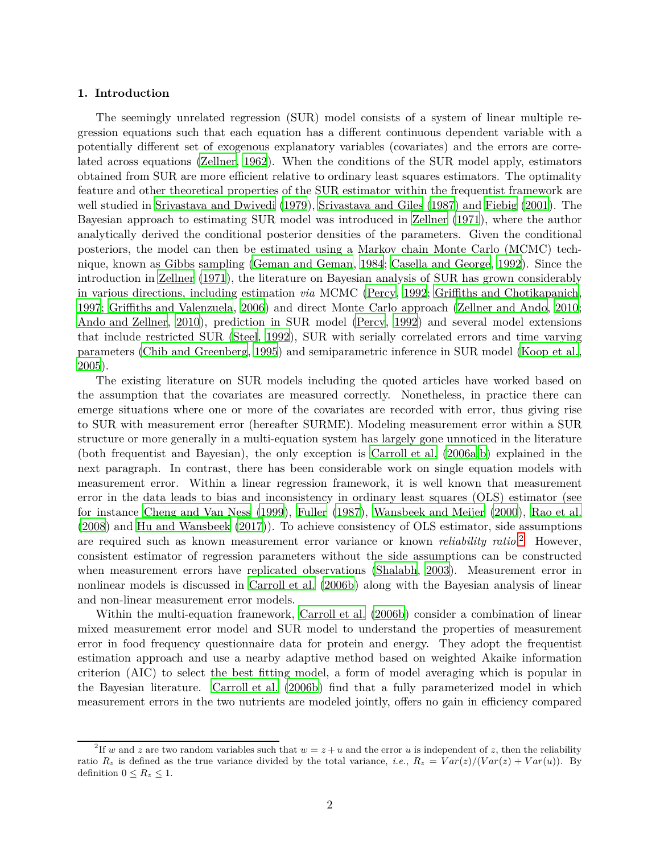#### **1. Introduction**

The seemingly unrelated regression (SUR) model consists of a system of linear multiple regression equations such that each equation has a different continuous dependent variable with a potentially different set of exogenous explanatory variables (covariates) and the errors are correlated across equations [\(Zellner](#page-21-0), [1962](#page-21-0)). When the conditions of the SUR model apply, estimators obtained from SUR are more efficient relative to ordinary least squares estimators. The optimality feature and other theoretical properties of the SUR estimator within the frequentist framework are well studied in [Srivastava and Dwivedi \(1979](#page-21-1)), [Srivastava and Giles](#page-21-2) [\(1987\)](#page-21-2) and [Fiebig \(2001](#page-19-0)). The Bayesian approach to estimating SUR model was introduced in [Zellner](#page-21-3) [\(1971](#page-21-3)), where the author analytically derived the conditional posterior densities of the parameters. Given the conditional posteriors, the model can then be estimated using a Markov chain Monte Carlo (MCMC) technique, known as Gibbs sampling [\(Geman and Geman, 1984](#page-19-1); [Casella and George](#page-19-2), [1992\)](#page-19-2). Since the introduction in [Zellner \(1971](#page-21-3)), the literature on Bayesian analysis of SUR has grown considerably in various directions, including estimation *via* MCMC [\(Percy](#page-20-0), [1992](#page-20-0); [Griffiths and Chotikapanich](#page-20-1), [1997;](#page-20-1) [Griffiths and Valenzuela](#page-20-2), [2006](#page-20-2)) and direct Monte Carlo approach [\(Zellner and Ando, 2010](#page-21-4); [Ando and Zellner](#page-19-3), [2010](#page-19-3)), prediction in SUR model [\(Percy, 1992](#page-20-0)) and several model extensions that include restricted SUR [\(Steel](#page-21-5), [1992\)](#page-21-5), SUR with serially correlated errors and time varying parameters [\(Chib and Greenberg, 1995](#page-19-4)) and semiparametric inference in SUR model [\(Koop et al.](#page-20-3), [2005\)](#page-20-3).

The existing literature on SUR models including the quoted articles have worked based on the assumption that the covariates are measured correctly. Nonetheless, in practice there can emerge situations where one or more of the covariates are recorded with error, thus giving rise to SUR with measurement error (hereafter SURME). Modeling measurement error within a SUR structure or more generally in a multi-equation system has largely gone unnoticed in the literature (both frequentist and Bayesian), the only exception is [Carroll et al.](#page-19-5) [\(2006a](#page-19-5)[,b](#page-19-6)) explained in the next paragraph. In contrast, there has been considerable work on single equation models with measurement error. Within a linear regression framework, it is well known that measurement error in the data leads to bias and inconsistency in ordinary least squares (OLS) estimator (see for instance [Cheng and Van Ness](#page-19-7) [\(1999](#page-19-7)), [Fuller \(1987](#page-19-8)), [Wansbeek and Meijer](#page-21-6) [\(2000](#page-21-6)), [Rao et al.](#page-21-7) [\(2008](#page-21-7)) and [Hu and Wansbeek](#page-20-4) [\(2017](#page-20-4))). To achieve consistency of OLS estimator, side assumptions are required such as known measurement error variance or known *reliability ratio*. [2](#page-1-0) However, consistent estimator of regression parameters without the side assumptions can be constructed when measurement errors have replicated observations [\(Shalabh](#page-21-8), [2003](#page-21-8)). Measurement error in nonlinear models is discussed in [Carroll et al.](#page-19-6) [\(2006b\)](#page-19-6) along with the Bayesian analysis of linear and non-linear measurement error models.

Within the multi-equation framework, [Carroll et al.](#page-19-6) [\(2006b\)](#page-19-6) consider a combination of linear mixed measurement error model and SUR model to understand the properties of measurement error in food frequency questionnaire data for protein and energy. They adopt the frequentist estimation approach and use a nearby adaptive method based on weighted Akaike information criterion (AIC) to select the best fitting model, a form of model averaging which is popular in the Bayesian literature. [Carroll et al.](#page-19-6) [\(2006b](#page-19-6)) find that a fully parameterized model in which measurement errors in the two nutrients are modeled jointly, offers no gain in efficiency compared

<span id="page-1-0"></span><sup>&</sup>lt;sup>2</sup>If *w* and *z* are two random variables such that  $w = z + u$  and the error *u* is independent of *z*, then the reliability ratio  $R_z$  is defined as the true variance divided by the total variance, *i.e.*,  $R_z = Var(z)/(Var(z) + Var(u))$ . By definition  $0 \leq R_z \leq 1$ .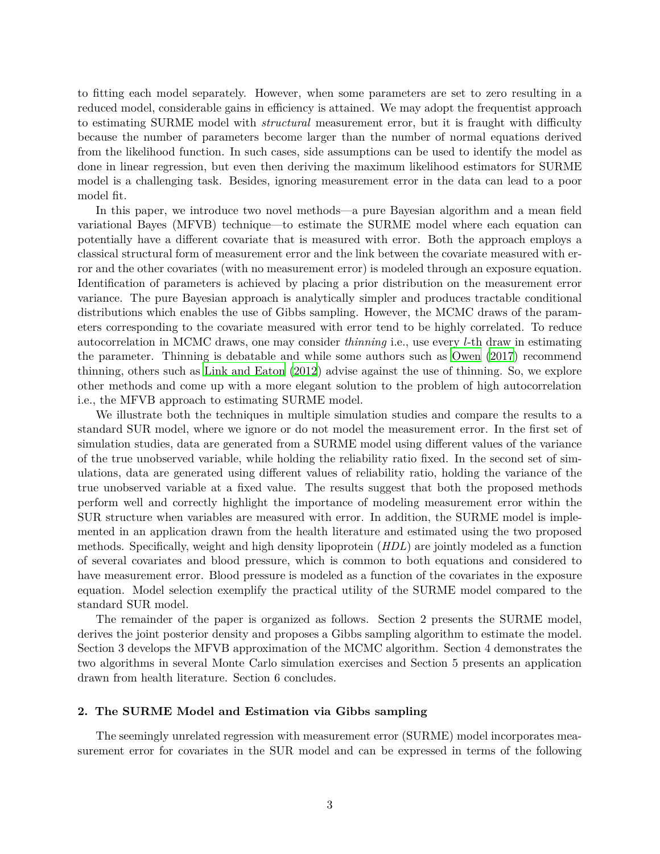to fitting each model separately. However, when some parameters are set to zero resulting in a reduced model, considerable gains in efficiency is attained. We may adopt the frequentist approach to estimating SURME model with *structural* measurement error, but it is fraught with difficulty because the number of parameters become larger than the number of normal equations derived from the likelihood function. In such cases, side assumptions can be used to identify the model as done in linear regression, but even then deriving the maximum likelihood estimators for SURME model is a challenging task. Besides, ignoring measurement error in the data can lead to a poor model fit.

In this paper, we introduce two novel methods—a pure Bayesian algorithm and a mean field variational Bayes (MFVB) technique—to estimate the SURME model where each equation can potentially have a different covariate that is measured with error. Both the approach employs a classical structural form of measurement error and the link between the covariate measured with error and the other covariates (with no measurement error) is modeled through an exposure equation. Identification of parameters is achieved by placing a prior distribution on the measurement error variance. The pure Bayesian approach is analytically simpler and produces tractable conditional distributions which enables the use of Gibbs sampling. However, the MCMC draws of the parameters corresponding to the covariate measured with error tend to be highly correlated. To reduce autocorrelation in MCMC draws, one may consider *thinning* i.e., use every *l*-th draw in estimating the parameter. Thinning is debatable and while some authors such as [Owen](#page-20-5) [\(2017\)](#page-20-5) recommend thinning, others such as [Link and Eaton](#page-20-6) [\(2012](#page-20-6)) advise against the use of thinning. So, we explore other methods and come up with a more elegant solution to the problem of high autocorrelation i.e., the MFVB approach to estimating SURME model.

We illustrate both the techniques in multiple simulation studies and compare the results to a standard SUR model, where we ignore or do not model the measurement error. In the first set of simulation studies, data are generated from a SURME model using different values of the variance of the true unobserved variable, while holding the reliability ratio fixed. In the second set of simulations, data are generated using different values of reliability ratio, holding the variance of the true unobserved variable at a fixed value. The results suggest that both the proposed methods perform well and correctly highlight the importance of modeling measurement error within the SUR structure when variables are measured with error. In addition, the SURME model is implemented in an application drawn from the health literature and estimated using the two proposed methods. Specifically, weight and high density lipoprotein (*HDL*) are jointly modeled as a function of several covariates and blood pressure, which is common to both equations and considered to have measurement error. Blood pressure is modeled as a function of the covariates in the exposure equation. Model selection exemplify the practical utility of the SURME model compared to the standard SUR model.

The remainder of the paper is organized as follows. Section 2 presents the SURME model, derives the joint posterior density and proposes a Gibbs sampling algorithm to estimate the model. Section 3 develops the MFVB approximation of the MCMC algorithm. Section 4 demonstrates the two algorithms in several Monte Carlo simulation exercises and Section 5 presents an application drawn from health literature. Section 6 concludes.

## **2. The SURME Model and Estimation via Gibbs sampling**

The seemingly unrelated regression with measurement error (SURME) model incorporates measurement error for covariates in the SUR model and can be expressed in terms of the following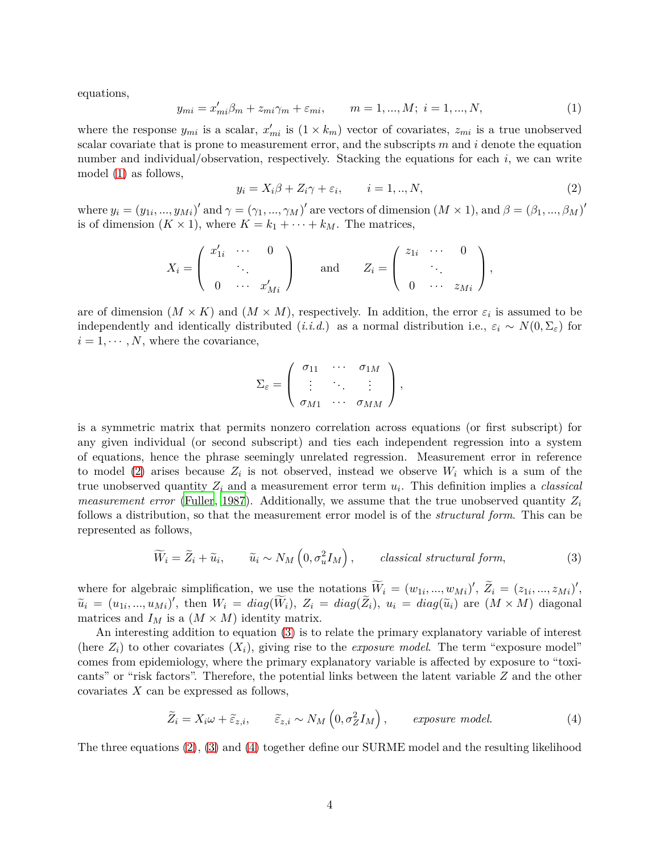equations,

<span id="page-3-0"></span>
$$
y_{mi} = x'_{mi}\beta_m + z_{mi}\gamma_m + \varepsilon_{mi}, \qquad m = 1, ..., M; \ i = 1, ..., N,
$$
 (1)

where the response  $y_{mi}$  is a scalar,  $x'_{mi}$  is  $(1 \times k_m)$  vector of covariates,  $z_{mi}$  is a true unobserved scalar covariate that is prone to measurement error, and the subscripts *m* and *i* denote the equation number and individual/observation, respectively. Stacking the equations for each *i*, we can write model [\(1\)](#page-3-0) as follows,

<span id="page-3-1"></span>
$$
y_i = X_i \beta + Z_i \gamma + \varepsilon_i, \qquad i = 1, ..., N,
$$
\n
$$
(2)
$$

where  $y_i = (y_{1i}, ..., y_{Mi})'$  and  $\gamma = (\gamma_1, ..., \gamma_M)'$  are vectors of dimension  $(M \times 1)$ , and  $\beta = (\beta_1, ..., \beta_M)'$ is of dimension  $(K \times 1)$ , where  $K = k_1 + \cdots + k_M$ . The matrices,

$$
X_i = \left(\begin{array}{ccc} x'_{1i} & \cdots & 0 \\ \vdots & \vdots & \vdots \\ 0 & \cdots & x'_{Mi} \end{array}\right) \qquad \text{and} \qquad Z_i = \left(\begin{array}{ccc} z_{1i} & \cdots & 0 \\ \vdots & \vdots & \vdots \\ 0 & \cdots & z_{Mi} \end{array}\right),
$$

are of dimension  $(M \times K)$  and  $(M \times M)$ , respectively. In addition, the error  $\varepsilon_i$  is assumed to be independently and identically distributed (*i.i.d.*) as a normal distribution i.e.,  $\varepsilon_i \sim N(0, \Sigma_{\varepsilon})$  for  $i = 1, \dots, N$ , where the covariance,

$$
\Sigma_{\varepsilon} = \left( \begin{array}{ccc} \sigma_{11} & \cdots & \sigma_{1M} \\ \vdots & \ddots & \vdots \\ \sigma_{M1} & \cdots & \sigma_{MM} \end{array} \right),
$$

is a symmetric matrix that permits nonzero correlation across equations (or first subscript) for any given individual (or second subscript) and ties each independent regression into a system of equations, hence the phrase seemingly unrelated regression. Measurement error in reference to model [\(2\)](#page-3-1) arises because  $Z_i$  is not observed, instead we observe  $W_i$  which is a sum of the true unobserved quantity *Z<sup>i</sup>* and a measurement error term *u<sup>i</sup>* . This definition implies a *classical measurement error* [\(Fuller, 1987\)](#page-19-8). Additionally, we assume that the true unobserved quantity *Z<sup>i</sup>* follows a distribution, so that the measurement error model is of the *structural form*. This can be represented as follows,

<span id="page-3-2"></span>
$$
\widetilde{W}_i = \widetilde{Z}_i + \widetilde{u}_i, \qquad \widetilde{u}_i \sim N_M\left(0, \sigma_u^2 I_M\right), \qquad classical\,\, structural\,\,form,\tag{3}
$$

where for algebraic simplification, we use the notations  $\widetilde{W}_i = (w_{1i}, ..., w_{Mi})'$ ,  $\widetilde{Z}_i = (z_{1i}, ..., z_{Mi})'$ ,  $\widetilde{u}_i = (u_{1i},...,u_{Mi})'$ , then  $W_i = diag(\widetilde{W}_i)$ ,  $Z_i = diag(\widetilde{Z}_i)$ ,  $u_i = diag(\widetilde{u}_i)$  are  $(M \times M)$  diagonal matrices and  $I_M$  is a  $(M \times M)$  identity matrix.

An interesting addition to equation [\(3\)](#page-3-2) is to relate the primary explanatory variable of interest (here  $Z_i$ ) to other covariates  $(X_i)$ , giving rise to the *exposure model*. The term "exposure model" comes from epidemiology, where the primary explanatory variable is affected by exposure to "toxicants" or "risk factors". Therefore, the potential links between the latent variable *Z* and the other covariates *X* can be expressed as follows,

<span id="page-3-3"></span>
$$
\widetilde{Z}_i = X_i \omega + \widetilde{\varepsilon}_{z,i}, \qquad \widetilde{\varepsilon}_{z,i} \sim N_M\left(0, \sigma_Z^2 I_M\right), \qquad \text{exposure model.} \tag{4}
$$

The three equations [\(2\)](#page-3-1), [\(3\)](#page-3-2) and [\(4\)](#page-3-3) together define our SURME model and the resulting likelihood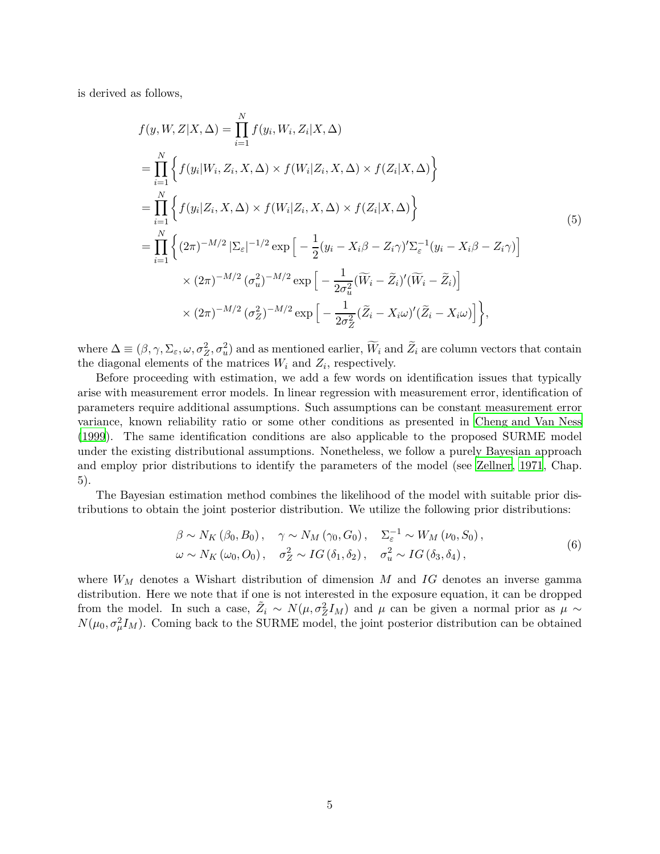is derived as follows,

<span id="page-4-0"></span>
$$
f(y, W, Z|X, \Delta) = \prod_{i=1}^{N} f(y_i, W_i, Z_i|X, \Delta)
$$
  
\n
$$
= \prod_{i=1}^{N} \left\{ f(y_i|W_i, Z_i, X, \Delta) \times f(W_i|Z_i, X, \Delta) \times f(Z_i|X, \Delta) \right\}
$$
  
\n
$$
= \prod_{i=1}^{N} \left\{ f(y_i|Z_i, X, \Delta) \times f(W_i|Z_i, X, \Delta) \times f(Z_i|X, \Delta) \right\}
$$
  
\n
$$
= \prod_{i=1}^{N} \left\{ (2\pi)^{-M/2} |\Sigma_{\varepsilon}|^{-1/2} \exp \left[ -\frac{1}{2} (y_i - X_i \beta - Z_i \gamma)' \Sigma_{\varepsilon}^{-1} (y_i - X_i \beta - Z_i \gamma) \right] \right\}
$$
  
\n
$$
\times (2\pi)^{-M/2} (\sigma_u^2)^{-M/2} \exp \left[ -\frac{1}{2\sigma_u^2} (\widetilde{W}_i - \widetilde{Z}_i)' (\widetilde{W}_i - \widetilde{Z}_i) \right]
$$
  
\n
$$
\times (2\pi)^{-M/2} (\sigma_Z^2)^{-M/2} \exp \left[ -\frac{1}{2\sigma_Z^2} (\widetilde{Z}_i - X_i \omega)' (\widetilde{Z}_i - X_i \omega) \right],
$$
\n(5)

where  $\Delta \equiv (\beta, \gamma, \Sigma_{\varepsilon}, \omega, \sigma_Z^2, \sigma_u^2)$  and as mentioned earlier,  $\widetilde{W}_i$  and  $\widetilde{Z}_i$  are column vectors that contain the diagonal elements of the matrices  $W_i$  and  $Z_i$ , respectively.

Before proceeding with estimation, we add a few words on identification issues that typically arise with measurement error models. In linear regression with measurement error, identification of parameters require additional assumptions. Such assumptions can be constant measurement error variance, known reliability ratio or some other conditions as presented in [Cheng and Van Ness](#page-19-7) [\(1999](#page-19-7)). The same identification conditions are also applicable to the proposed SURME model under the existing distributional assumptions. Nonetheless, we follow a purely Bayesian approach and employ prior distributions to identify the parameters of the model (see [Zellner](#page-21-3), [1971](#page-21-3), Chap. 5).

The Bayesian estimation method combines the likelihood of the model with suitable prior distributions to obtain the joint posterior distribution. We utilize the following prior distributions:

$$
\beta \sim N_K(\beta_0, B_0), \quad \gamma \sim N_M(\gamma_0, G_0), \quad \Sigma_{\varepsilon}^{-1} \sim W_M(\nu_0, S_0),
$$
  

$$
\omega \sim N_K(\omega_0, O_0), \quad \sigma_Z^2 \sim IG(\delta_1, \delta_2), \quad \sigma_u^2 \sim IG(\delta_3, \delta_4),
$$
 (6)

<span id="page-4-1"></span>where *W<sup>M</sup>* denotes a Wishart distribution of dimension *M* and *IG* denotes an inverse gamma distribution. Here we note that if one is not interested in the exposure equation, it can be dropped from the model. In such a case,  $\tilde{Z}_i \sim N(\mu, \sigma_Z^2 I_M)$  and  $\mu$  can be given a normal prior as  $\mu \sim$  $N(\mu_0, \sigma_\mu^2 I_M)$ . Coming back to the SURME model, the joint posterior distribution can be obtained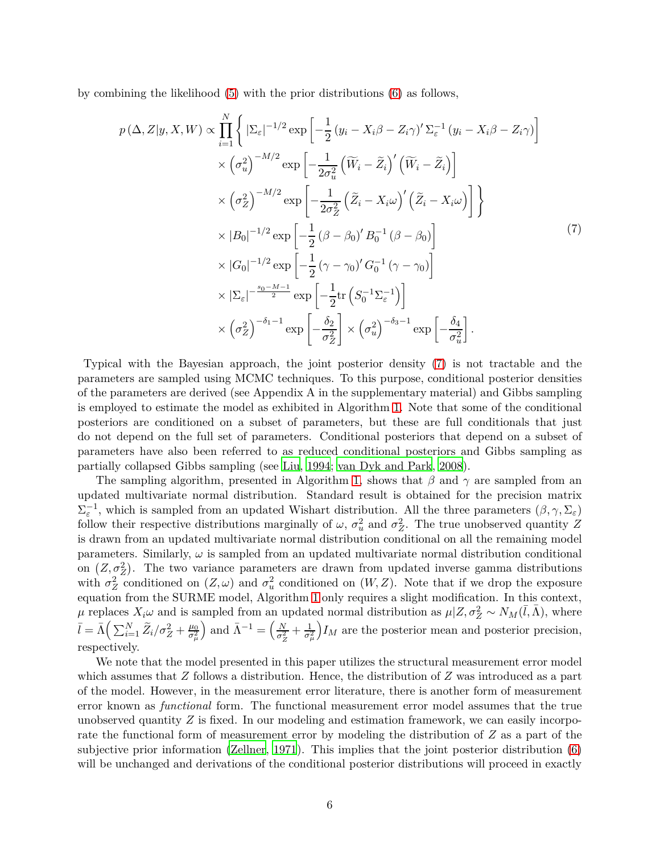by combining the likelihood [\(5\)](#page-4-0) with the prior distributions [\(6\)](#page-4-1) as follows,

<span id="page-5-0"></span>
$$
p(\Delta, Z|y, X, W) \propto \prod_{i=1}^{N} \left\{ |\Sigma_{\varepsilon}|^{-1/2} \exp\left[ -\frac{1}{2} (y_i - X_i \beta - Z_i \gamma)' \Sigma_{\varepsilon}^{-1} (y_i - X_i \beta - Z_i \gamma) \right] \right\}
$$
  
\n
$$
\times (\sigma_u^2)^{-M/2} \exp\left[ -\frac{1}{2\sigma_u^2} \left( \widetilde{W}_i - \widetilde{Z}_i \right)' \left( \widetilde{W}_i - \widetilde{Z}_i \right) \right]
$$
  
\n
$$
\times (\sigma_Z^2)^{-M/2} \exp\left[ -\frac{1}{2\sigma_Z^2} \left( \widetilde{Z}_i - X_i \omega \right)' \left( \widetilde{Z}_i - X_i \omega \right) \right] \right\}
$$
  
\n
$$
\times |B_0|^{-1/2} \exp\left[ -\frac{1}{2} (\beta - \beta_0)' B_0^{-1} (\beta - \beta_0) \right]
$$
  
\n
$$
\times |G_0|^{-1/2} \exp\left[ -\frac{1}{2} (\gamma - \gamma_0)' G_0^{-1} (\gamma - \gamma_0) \right]
$$
  
\n
$$
\times |\Sigma_{\varepsilon}|^{-\frac{s_0 - M - 1}{2}} \exp\left[ -\frac{1}{2} \text{tr} \left( S_0^{-1} \Sigma_{\varepsilon}^{-1} \right) \right]
$$
  
\n
$$
\times (\sigma_Z^2)^{-\delta_1 - 1} \exp\left[ -\frac{\delta_2}{\sigma_Z^2} \right] \times (\sigma_u^2)^{-\delta_3 - 1} \exp\left[ -\frac{\delta_4}{\sigma_u^2} \right].
$$
  
\n(7)

Typical with the Bayesian approach, the joint posterior density [\(7\)](#page-5-0) is not tractable and the parameters are sampled using MCMC techniques. To this purpose, conditional posterior densities of the parameters are derived (see Appendix A in the supplementary material) and Gibbs sampling is employed to estimate the model as exhibited in Algorithm [1.](#page-6-0) Note that some of the conditional posteriors are conditioned on a subset of parameters, but these are full conditionals that just do not depend on the full set of parameters. Conditional posteriors that depend on a subset of parameters have also been referred to as reduced conditional posteriors and Gibbs sampling as partially collapsed Gibbs sampling (see [Liu](#page-20-7), [1994](#page-20-7); [van Dyk and Park](#page-21-9), [2008](#page-21-9)).

The sampling algorithm, presented in Algorithm [1,](#page-6-0) shows that *β* and *γ* are sampled from an updated multivariate normal distribution. Standard result is obtained for the precision matrix  $\Sigma_{\varepsilon}^{-1}$ , which is sampled from an updated Wishart distribution. All the three parameters  $(\beta, \gamma, \Sigma_{\varepsilon})$ follow their respective distributions marginally of  $\omega$ ,  $\sigma_u^2$  and  $\sigma_Z^2$ . The true unobserved quantity *Z* is drawn from an updated multivariate normal distribution conditional on all the remaining model parameters. Similarly,  $\omega$  is sampled from an updated multivariate normal distribution conditional on  $(Z, \sigma_Z^2)$ . The two variance parameters are drawn from updated inverse gamma distributions with  $\sigma_Z^2$  conditioned on  $(Z, \omega)$  and  $\sigma_u^2$  conditioned on  $(W, Z)$ . Note that if we drop the exposure equation from the SURME model, Algorithm [1](#page-6-0) only requires a slight modification. In this context,  $\mu$  replaces  $X_i\omega$  and is sampled from an updated normal distribution as  $\mu|Z,\sigma_Z^2 \sim N_M(\bar{l},\bar{\Lambda})$ , where  $\bar{l} = \bar{\Lambda} \Big( \sum_{i=1}^N \widetilde{Z}_i / \sigma_Z^2 + \frac{\mu_0}{\sigma_\mu^2}$ ) and  $\bar{\Lambda}^{-1} = \left(\frac{N}{\sigma^2}\right)$  $\frac{N}{\sigma_Z^2} + \frac{1}{\sigma_\mu^2}$  $I_M$  are the posterior mean and posterior precision, respectively.

We note that the model presented in this paper utilizes the structural measurement error model which assumes that *Z* follows a distribution. Hence, the distribution of *Z* was introduced as a part of the model. However, in the measurement error literature, there is another form of measurement error known as *functional* form. The functional measurement error model assumes that the true unobserved quantity *Z* is fixed. In our modeling and estimation framework, we can easily incorporate the functional form of measurement error by modeling the distribution of *Z* as a part of the subjective prior information [\(Zellner, 1971](#page-21-3)). This implies that the joint posterior distribution [\(6\)](#page-4-1) will be unchanged and derivations of the conditional posterior distributions will proceed in exactly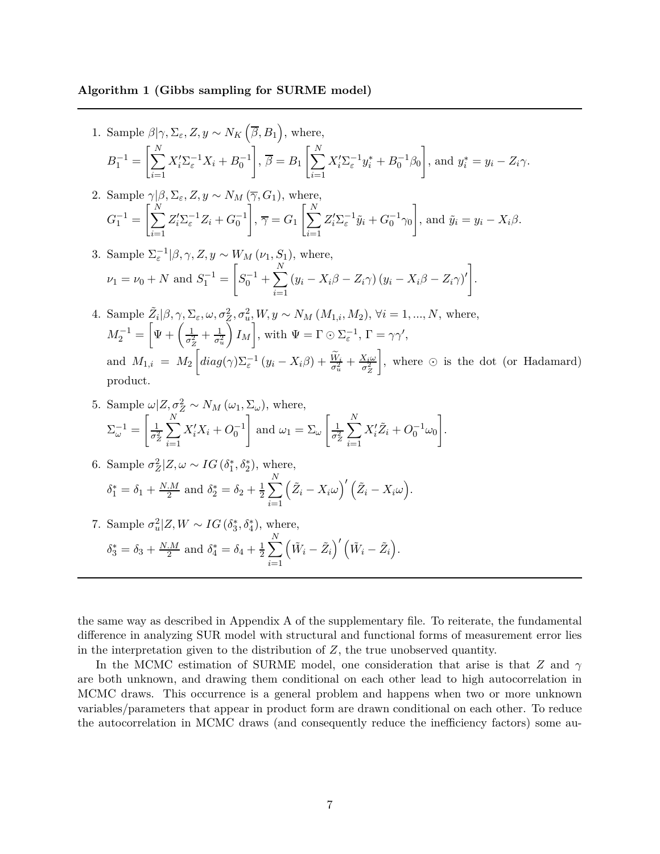### <span id="page-6-0"></span>**Algorithm 1 (Gibbs sampling for SURME model)**

1. Sample  $\beta | \gamma, \Sigma_{\varepsilon}, Z, y \sim N_K(\overline{\beta}, B_1)$ , where,  $B_1^{-1} = \left[\sum_{i=1}^N a_i\right]$ *i*=1  $X'_i \Sigma_{\varepsilon}^{-1} X_i + B_0^{-1}$ 1  $,\overline{\beta} = B_1 \left[ \sum^N \right]$ *i*=1  $X'_i \Sigma_{\varepsilon}^{-1} y_i^* + B_0^{-1} \beta_0$  $\overline{1}$  $y_i^* = y_i - Z_i \gamma.$ 

2. Sample 
$$
\gamma|\beta, \Sigma_{\varepsilon}, Z, y \sim N_M(\overline{\gamma}, G_1)
$$
, where,  

$$
G_1^{-1} = \left[\sum_{i=1}^N Z_i' \Sigma_{\varepsilon}^{-1} Z_i + G_0^{-1}\right], \overline{\gamma} = G_1 \left[\sum_{i=1}^N Z_i' \Sigma_{\varepsilon}^{-1} \tilde{y}_i + G_0^{-1} \gamma_0\right], \text{ and } \tilde{y}_i = y_i - X_i \beta.
$$

3. Sample 
$$
\Sigma_{\varepsilon}^{-1}|\beta, \gamma, Z, y \sim W_M(\nu_1, S_1)
$$
, where,  

$$
\nu_1 = \nu_0 + N \text{ and } S_1^{-1} = \left[ S_0^{-1} + \sum_{i=1}^N (y_i - X_i \beta - Z_i \gamma) (y_i - X_i \beta - Z_i \gamma)' \right]
$$

4. Sample  $\tilde{Z}_i | \beta, \gamma, \Sigma_\varepsilon, \omega, \sigma_Z^2, \sigma_u^2, W, y \sim N_M(M_{1,i}, M_2), \forall i = 1, ..., N$ , where,  $M_2^{-1} =$  $\left[\Psi + \left(\frac{1}{\sigma^2}\right)\right]$  $\frac{1}{\sigma_Z^2} + \frac{1}{\sigma_u^2}$ Ī *I<sup>M</sup>* 1 , with  $\Psi = \Gamma \odot \Sigma_{\varepsilon}^{-1}$ ,  $\Gamma = \gamma \gamma'$ , and  $M_{1,i} = M_2$  $\int d\mathbf{i}ag(\gamma)\Sigma_{\varepsilon}^{-1}(y_i-X_i\beta)+\frac{\widetilde{W}_i}{\sigma_u^2}+\frac{X_i\omega}{\sigma_Z^2}$  $\sigma_Z^2$ 1 , where ⊙ is the dot (or Hadamard) product.

.

.

5. Sample 
$$
\omega | Z, \sigma_Z^2 \sim N_M (\omega_1, \Sigma_\omega)
$$
, where,  
\n
$$
\Sigma_\omega^{-1} = \left[ \frac{1}{\sigma_Z^2} \sum_{i=1}^N X_i' X_i + O_0^{-1} \right]
$$
 and  $\omega_1 = \Sigma_\omega \left[ \frac{1}{\sigma_Z^2} \sum_{i=1}^N X_i' \tilde{Z}_i + O_0^{-1} \omega_0 \right].$ 

6. Sample 
$$
\sigma_Z^2 | Z, \omega \sim IG(\delta_1^*, \delta_2^*)
$$
, where,  
\n $\delta_1^* = \delta_1 + \frac{N.M}{2}$  and  $\delta_2^* = \delta_2 + \frac{1}{2} \sum_{i=1}^N (\tilde{Z}_i - X_i \omega)' (\tilde{Z}_i - X_i \omega)$ 

7. Sample 
$$
\sigma_u^2 | Z, W \sim IG(\delta_3^*, \delta_4^*)
$$
, where,  
\n $\delta_3^* = \delta_3 + \frac{N.M}{2}$  and  $\delta_4^* = \delta_4 + \frac{1}{2} \sum_{i=1}^N (\tilde{W}_i - \tilde{Z}_i)' (\tilde{W}_i - \tilde{Z}_i)$ .

the same way as described in Appendix A of the supplementary file. To reiterate, the fundamental difference in analyzing SUR model with structural and functional forms of measurement error lies in the interpretation given to the distribution of *Z*, the true unobserved quantity.

In the MCMC estimation of SURME model, one consideration that arise is that *Z* and *γ* are both unknown, and drawing them conditional on each other lead to high autocorrelation in MCMC draws. This occurrence is a general problem and happens when two or more unknown variables/parameters that appear in product form are drawn conditional on each other. To reduce the autocorrelation in MCMC draws (and consequently reduce the inefficiency factors) some au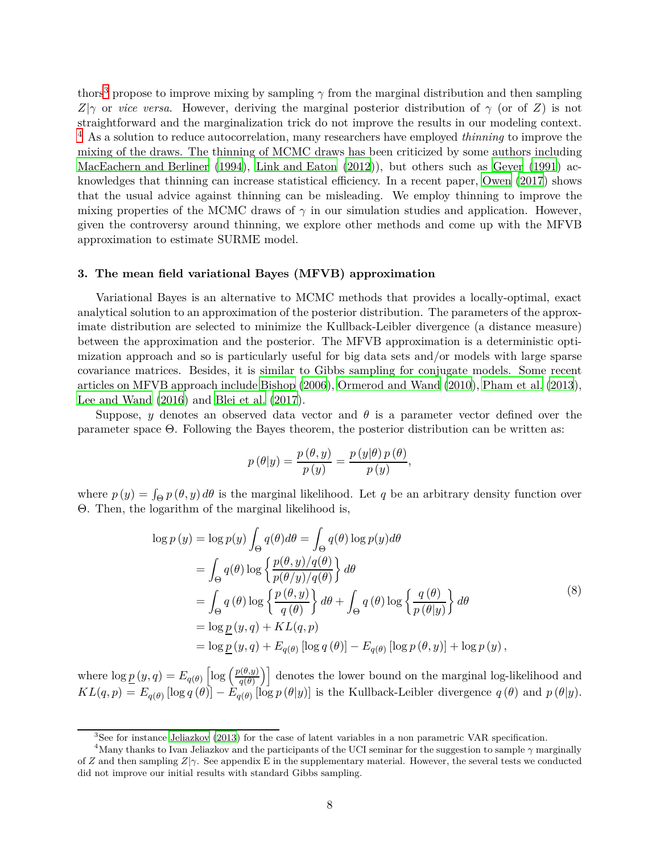thors<sup>[3](#page-7-0)</sup> propose to improve mixing by sampling  $\gamma$  from the marginal distribution and then sampling *Z*|*γ* or *vice versa*. However, deriving the marginal posterior distribution of *γ* (or of *Z*) is not straightforward and the marginalization trick do not improve the results in our modeling context. [4](#page-7-1) As a solution to reduce autocorrelation, many researchers have employed *thinning* to improve the mixing of the draws. The thinning of MCMC draws has been criticized by some authors including [MacEachern and Berliner \(1994](#page-20-8)), [Link and Eaton \(2012](#page-20-6))), but others such as [Geyer](#page-19-9) [\(1991](#page-19-9)) acknowledges that thinning can increase statistical efficiency. In a recent paper, [Owen](#page-20-5) [\(2017](#page-20-5)) shows that the usual advice against thinning can be misleading. We employ thinning to improve the mixing properties of the MCMC draws of  $\gamma$  in our simulation studies and application. However, given the controversy around thinning, we explore other methods and come up with the MFVB approximation to estimate SURME model.

## **3. The mean field variational Bayes (MFVB) approximation**

Variational Bayes is an alternative to MCMC methods that provides a locally-optimal, exact analytical solution to an approximation of the posterior distribution. The parameters of the approximate distribution are selected to minimize the Kullback-Leibler divergence (a distance measure) between the approximation and the posterior. The MFVB approximation is a deterministic optimization approach and so is particularly useful for big data sets and/or models with large sparse covariance matrices. Besides, it is similar to Gibbs sampling for conjugate models. Some recent articles on MFVB approach include [Bishop \(2006](#page-19-10)), [Ormerod and Wand](#page-20-9) [\(2010\)](#page-20-9), [Pham et al.](#page-20-10) [\(2013](#page-20-10)), [Lee and Wand](#page-20-11) [\(2016\)](#page-20-11) and [Blei et al. \(2017](#page-19-11)).

Suppose, *y* denotes an observed data vector and  $\theta$  is a parameter vector defined over the parameter space Θ. Following the Bayes theorem, the posterior distribution can be written as:

$$
p(\theta|y) = \frac{p(\theta, y)}{p(y)} = \frac{p(y|\theta) p(\theta)}{p(y)},
$$

where  $p(y) = \int_{\Theta} p(\theta, y) d\theta$  is the marginal likelihood. Let q be an arbitrary density function over Θ. Then, the logarithm of the marginal likelihood is,

$$
\log p(y) = \log p(y) \int_{\Theta} q(\theta) d\theta = \int_{\Theta} q(\theta) \log p(y) d\theta
$$
  
= 
$$
\int_{\Theta} q(\theta) \log \left\{ \frac{p(\theta, y)/q(\theta)}{p(\theta/y)/q(\theta)} \right\} d\theta
$$
  
= 
$$
\int_{\Theta} q(\theta) \log \left\{ \frac{p(\theta, y)}{q(\theta)} \right\} d\theta + \int_{\Theta} q(\theta) \log \left\{ \frac{q(\theta)}{p(\theta|y)} \right\} d\theta
$$
  
= 
$$
\log \underline{p}(y, q) + KL(q, p)
$$
  
= 
$$
\log \underline{p}(y, q) + E_{q(\theta)} [\log q(\theta)] - E_{q(\theta)} [\log p(\theta, y)] + \log p(y),
$$
 (8)

where  $\log p(y, q) = E_{q(\theta)} \left[ \log \left( \frac{p(\theta, y)}{q(\theta)} \right) \right]$  $\left(\frac{\theta(y)}{q(\theta)}\right)$  denotes the lower bound on the marginal log-likelihood and  $KL(q, p) = E_{q(\theta)} [\log q(\theta)] - E_{q(\theta)} [\log p(\theta|y)]$  is the Kullback-Leibler divergence  $q(\theta)$  and  $p(\theta|y)$ .

<span id="page-7-1"></span><span id="page-7-0"></span><sup>3</sup>See for instance [Jeliazkov \(2013](#page-20-12)) for the case of latent variables in a non parametric VAR specification.

<sup>4</sup>Many thanks to Ivan Jeliazkov and the participants of the UCI seminar for the suggestion to sample *γ* marginally of *Z* and then sampling  $Z|\gamma$ . See appendix E in the supplementary material. However, the several tests we conducted did not improve our initial results with standard Gibbs sampling.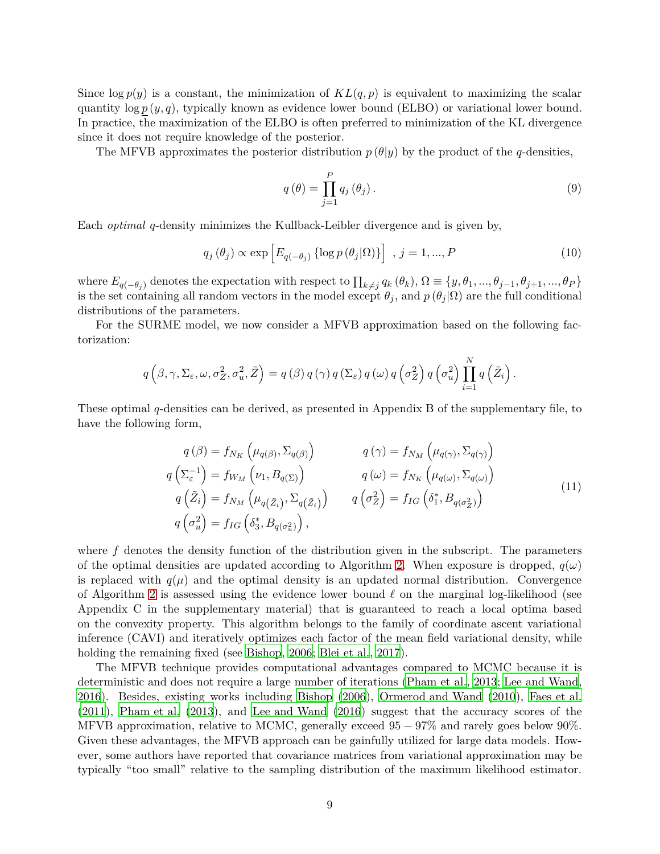Since  $\log p(y)$  is a constant, the minimization of  $KL(q, p)$  is equivalent to maximizing the scalar quantity log *p* (*y, q*), typically known as evidence lower bound (ELBO) or variational lower bound. In practice, the maximization of the ELBO is often preferred to minimization of the KL divergence since it does not require knowledge of the posterior.

The MFVB approximates the posterior distribution  $p(\theta|y)$  by the product of the *q*-densities,

$$
q(\theta) = \prod_{j=1}^{P} q_j(\theta_j).
$$
\n(9)

Each *optimal q*-density minimizes the Kullback-Leibler divergence and is given by,

$$
q_j(\theta_j) \propto \exp\left[E_{q(-\theta_j)}\left\{\log p\left(\theta_j|\Omega\right)\right\}\right], j = 1, ..., P
$$
\n(10)

where  $E_{q(-\theta_j)}$  denotes the expectation with respect to  $\prod_{k\neq j} q_k(\theta_k)$ ,  $\Omega \equiv \{y, \theta_1, ..., \theta_{j-1}, \theta_{j+1}, ..., \theta_P\}$ is the set containing all random vectors in the model except  $\theta_j$ , and  $p(\theta_j|\Omega)$  are the full conditional distributions of the parameters.

For the SURME model, we now consider a MFVB approximation based on the following factorization:

$$
q\left(\beta,\gamma,\Sigma_{\varepsilon},\omega,\sigma_Z^2,\sigma_u^2,\tilde{Z}\right)=q\left(\beta\right)q\left(\gamma\right)q\left(\Sigma_{\varepsilon}\right)q\left(\omega\right)q\left(\sigma_Z^2\right)q\left(\sigma_u^2\right)\prod_{i=1}^Nq\left(\tilde{Z}_i\right).
$$

These optimal *q*-densities can be derived, as presented in Appendix B of the supplementary file, to have the following form,

$$
q(\beta) = f_{N_K} \left(\mu_{q(\beta)}, \Sigma_{q(\beta)}\right) \qquad q(\gamma) = f_{N_M} \left(\mu_{q(\gamma)}, \Sigma_{q(\gamma)}\right)
$$
  
\n
$$
q\left(\Sigma_{\varepsilon}^{-1}\right) = f_{W_M} \left(\nu_1, B_{q(\Sigma)}\right) \qquad q(\omega) = f_{N_K} \left(\mu_{q(\omega)}, \Sigma_{q(\omega)}\right)
$$
  
\n
$$
q\left(\tilde{Z}_i\right) = f_{N_M} \left(\mu_{q(\tilde{Z}_i)}, \Sigma_{q(\tilde{Z}_i)}\right) \qquad q\left(\sigma_Z^2\right) = f_{IG} \left(\delta_1^*, B_{q(\sigma_Z^2)}\right)
$$
  
\n
$$
q\left(\sigma_u^2\right) = f_{IG} \left(\delta_3^*, B_{q(\sigma_u^2)}\right), \qquad (11)
$$

where f denotes the density function of the distribution given in the subscript. The parameters of the optimal densities are updated according to Algorithm [2.](#page-9-0) When exposure is dropped,  $q(\omega)$ is replaced with  $q(\mu)$  and the optimal density is an updated normal distribution. Convergence of Algorithm [2](#page-9-0) is assessed using the evidence lower bound *ℓ* on the marginal log-likelihood (see Appendix C in the supplementary material) that is guaranteed to reach a local optima based on the convexity property. This algorithm belongs to the family of coordinate ascent variational inference (CAVI) and iteratively optimizes each factor of the mean field variational density, while holding the remaining fixed (see [Bishop](#page-19-10), [2006;](#page-19-10) [Blei et al.](#page-19-11), [2017](#page-19-11)).

The MFVB technique provides computational advantages compared to MCMC because it is deterministic and does not require a large number of iterations [\(Pham et al.](#page-20-10), [2013](#page-20-10); [Lee and Wand](#page-20-11), [2016\)](#page-20-11). Besides, existing works including [Bishop](#page-19-10) [\(2006](#page-19-10)), [Ormerod and Wand](#page-20-9) [\(2010](#page-20-9)), [Faes et al.](#page-19-12) [\(2011](#page-19-12)), [Pham et al.](#page-20-10) [\(2013](#page-20-10)), and [Lee and Wand \(2016](#page-20-11)) suggest that the accuracy scores of the MFVB approximation, relative to MCMC, generally exceed 95 − 97% and rarely goes below 90%. Given these advantages, the MFVB approach can be gainfully utilized for large data models. However, some authors have reported that covariance matrices from variational approximation may be typically "too small" relative to the sampling distribution of the maximum likelihood estimator.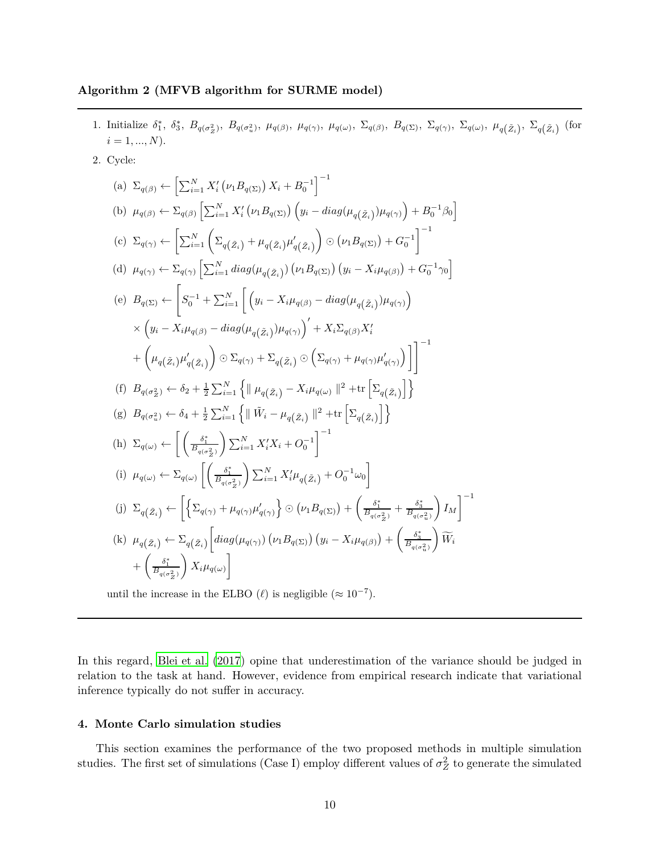### <span id="page-9-0"></span>**Algorithm 2 (MFVB algorithm for SURME model)**

- 1. Initialize  $\delta_1^*$ ,  $\delta_3^*$ ,  $B_{q(\sigma_z^2)}$ ,  $B_{q(\sigma_u^2)}$ ,  $\mu_{q(\beta)}$ ,  $\mu_{q(\gamma)}$ ,  $\mu_{q(\omega)}$ ,  $\Sigma_{q(\beta)}$ ,  $B_{q(\Sigma)}$ ,  $\Sigma_{q(\gamma)}$ ,  $\Sigma_{q(\omega)}$ ,  $\mu_{q(\tilde{Z}_i)}$ ,  $\Sigma_{q(\tilde{Z}_i)}$  (for  $i = 1, ..., N$ .
- 2. Cycle:  $(a) \ \Sigma_{q(\beta)} \leftarrow \left[ \sum_{i=1}^{N} X'_{i} \left( \nu_{1} B_{q(\Sigma)} \right) X_{i} + B_{0}^{-1} \right]^{-1}$ (b)  $\mu_{q(\beta)} \leftarrow \Sigma_{q(\beta)} \left[ \sum_{i=1}^{N} X_i' \left( \nu_1 B_{q(\Sigma)} \right) \left( y_i - diag(\mu_{q(\tilde{Z}_i)}) \mu_{q(\gamma)} \right) + B_0^{-1} \beta_0 \right]$  $\sum_{q(\gamma)} \mathcal{L}_{q(\gamma)} \leftarrow \left[ \sum_{i=1}^{N} \left( \sum_{q(\tilde{Z}_i)} + \mu_{q(\tilde{Z}_i)} \mu_{q(\tilde{Z}_i)} \right) \right]$  $q(\tilde{Z}_i)$  $\overline{\phantom{0}}$  $\odot (\nu_1 B_{q(\Sigma)}) + G_0^{-1}$  $1^{-1}$ (d)  $\mu_{q(\gamma)} \leftarrow \Sigma_{q(\gamma)} \left[ \sum_{i=1}^{N} diag(\mu_{q(\tilde{Z}_{i})}) (\nu_1 B_{q(\Sigma)}) (y_i - X_i \mu_{q(\beta)}) + G_0^{-1} \gamma_0 \right]$ (e) *B<sup>q</sup>*(Σ) ←  $\sqrt{ }$  $S_0^{-1} + \sum_{i=1}^N \left[ (y_i - X_i \mu_{q(\beta)} - diag(\mu_{q(\tilde{Z}_i)}) \mu_{q(\gamma)}) \right]$  $\times \left(y_i - X_i \mu_{q(\beta)} - diag(\mu_{q(\tilde{Z}_i)})\mu_{q(\gamma)}\right)' + X_i \Sigma_{q(\beta)} X'_i$ +  $\sqrt{2}$  $\mu_{q(\tilde{Z}_i)}\mu'_{q(\tilde{Z}_i)}$  $q\big(\tilde{Z}_i\big)$  $\overline{\phantom{0}}$  $\odot \Sigma_{q(\gamma)} + \Sigma_{q(\tilde{Z}_i)} \odot (\Sigma_{q(\gamma)} + \mu_{q(\gamma)}\mu'_q)$ *q*(*γ*)  $\bigcap^{1}$  $\mathcal{L}\left( \text{f} \right) \ B_{q(\sigma^2_Z)} \leftarrow \delta_2 + \frac{1}{2} \sum_{i=1}^N \left\{ \parallel \mu_{q(\tilde{Z}_i)} - X_i \mu_{q(\omega)} \ \parallel^2 + \text{tr} \left[ \Sigma_{q(\tilde{Z}_i)} \right] \right\}$  $\mathcal{L}(\mathbf{g})$   $B_{q(\sigma_u^2)} \leftarrow \delta_4 + \frac{1}{2} \sum_{i=1}^N \left\{ \|\tilde{W}_i - \mu_{q(\tilde{Z}_i)}\|^2 + \text{tr}\left[\Sigma_{q(\tilde{Z}_i)}\right] \right\}$ (h)  $\Sigma_{q(\omega)} \leftarrow \left[ \left( \frac{\delta_1^*}{B_{q(\sigma_{\omega}^2)}} \right) \sum_{i=1}^N X'_i X_i + O_0^{-1}$ *Z*  $1^{-1}$ (i)  $\mu_{q(\omega)} \leftarrow \Sigma_{q(\omega)} \left[ \left( \frac{\delta_1^*}{B_{q(\sigma_Z^2)}} \right) \sum_{i=1}^N X_i' \mu_{q(\bar{Z}_i)} + O_0^{-1} \omega_0 \right]$ 1  $(j)$   $\Sigma_{q(\tilde{Z}_{i})}$  ←  $\left[\left\{\Sigma_{q(\gamma)} + \mu_{q(\gamma)}\mu'_{\alpha}\right\}\right]$ *q*(*γ*)  $\big\} \odot (\nu_1 B_{q(\Sigma)}) +$  $\left( \frac{\delta_1^*}{B_{q(\sigma^2_Z)}} + \frac{\delta_3^*}{B_{q(\sigma^2_u)}} \right.$ *Z*  $\overline{\phantom{0}}$ *I<sup>M</sup>*  $1^{-1}$  $(k)$   $\mu_{q}(\tilde{z}_i) \leftarrow \Sigma_{q}(\tilde{z}_i)$  $\sqrt{ }$  $diag(\mu_{q(\gamma)}) (\nu_1 B_{q(\Sigma)}) (y_i - X_i \mu_{q(\beta)}) +$  $\left( \frac{\delta_3^*}{B_{q(\sigma^2_u)}} \right)$  $\overline{ }$  $W_i$ +  $\left(\frac{\delta_1^*}{B_{q(\sigma_Z^2)}}\right)$ *Z*  $\setminus$  $X_i\mu_{q(\omega)}$ 1

until the increase in the ELBO  $(\ell)$  is negligible  $(\approx 10^{-7})$ .

In this regard, [Blei et al. \(2017](#page-19-11)) opine that underestimation of the variance should be judged in relation to the task at hand. However, evidence from empirical research indicate that variational inference typically do not suffer in accuracy.

## **4. Monte Carlo simulation studies**

This section examines the performance of the two proposed methods in multiple simulation studies. The first set of simulations (Case I) employ different values of  $\sigma_Z^2$  to generate the simulated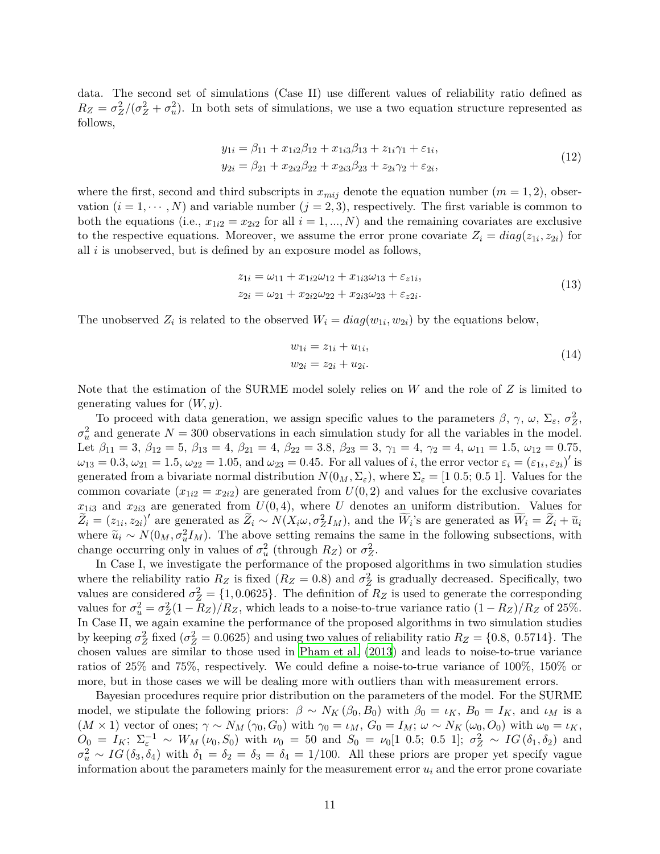data. The second set of simulations (Case II) use different values of reliability ratio defined as  $R_Z = \frac{\sigma_Z^2}{\sigma_Z^2} + \frac{\sigma_u^2}{\sigma_u^2}$ . In both sets of simulations, we use a two equation structure represented as follows,

$$
y_{1i} = \beta_{11} + x_{1i2}\beta_{12} + x_{1i3}\beta_{13} + z_{1i}\gamma_1 + \varepsilon_{1i},
$$
  
\n
$$
y_{2i} = \beta_{21} + x_{2i2}\beta_{22} + x_{2i3}\beta_{23} + z_{2i}\gamma_2 + \varepsilon_{2i},
$$
\n(12)

where the first, second and third subscripts in  $x_{mij}$  denote the equation number  $(m = 1, 2)$ , observation  $(i = 1, \dots, N)$  and variable number  $(j = 2, 3)$ , respectively. The first variable is common to both the equations (i.e.,  $x_{1i2} = x_{2i2}$  for all  $i = 1, ..., N$ ) and the remaining covariates are exclusive to the respective equations. Moreover, we assume the error prone covariate  $Z_i = diag(z_{1i}, z_{2i})$  for all *i* is unobserved, but is defined by an exposure model as follows,

$$
z_{1i} = \omega_{11} + x_{1i2}\omega_{12} + x_{1i3}\omega_{13} + \varepsilon_{z1i},
$$
  
\n
$$
z_{2i} = \omega_{21} + x_{2i2}\omega_{22} + x_{2i3}\omega_{23} + \varepsilon_{z2i}.
$$
\n(13)

The unobserved  $Z_i$  is related to the observed  $W_i = diag(w_{1i}, w_{2i})$  by the equations below,

$$
w_{1i} = z_{1i} + u_{1i},
$$
  
\n
$$
w_{2i} = z_{2i} + u_{2i}.
$$
\n(14)

Note that the estimation of the SURME model solely relies on *W* and the role of *Z* is limited to generating values for (*W, y*).

To proceed with data generation, we assign specific values to the parameters  $\beta$ ,  $\gamma$ ,  $\omega$ ,  $\Sigma_{\varepsilon}$ ,  $\sigma_Z^2$ ,  $\sigma_u^2$  and generate  $N = 300$  observations in each simulation study for all the variables in the model. Let  $\beta_{11} = 3, \ \beta_{12} = 5, \ \beta_{13} = 4, \ \beta_{21} = 4, \ \beta_{22} = 3.8, \ \beta_{23} = 3, \ \gamma_1 = 4, \ \gamma_2 = 4, \ \omega_{11} = 1.5, \ \omega_{12} = 0.75,$  $\omega_{13} = 0.3, \omega_{21} = 1.5, \omega_{22} = 1.05, \text{ and } \omega_{23} = 0.45.$  For all values of *i*, the error vector  $\varepsilon_i = (\varepsilon_{1i}, \varepsilon_{2i})'$  is generated from a bivariate normal distribution  $N(0_M, \Sigma_\varepsilon)$ , where  $\Sigma_\varepsilon = [1 \ 0.5; 0.5 \ 1]$ . Values for the common covariate  $(x_{1i2} = x_{2i2})$  are generated from  $U(0, 2)$  and values for the exclusive covariates  $x_{1i3}$  and  $x_{2i3}$  are generated from  $U(0, 4)$ , where *U* denotes an uniform distribution. Values for  $\widetilde{Z}_i = (z_{1i}, z_{2i})'$  are generated as  $\widetilde{Z}_i \sim N(X_i \omega, \sigma_Z^2 I_M)$ , and the  $\widetilde{W}_i$ 's are generated as  $\widetilde{W}_i = \widetilde{Z}_i + \widetilde{u}_i$ where  $\tilde{u}_i \sim N(0_M, \sigma_u^2 I_M)$ . The above setting remains the same in the following subsections, with change occurring only in values of  $\sigma_u^2$  (through  $R_Z$ ) or  $\sigma_Z^2$ .

In Case I, we investigate the performance of the proposed algorithms in two simulation studies where the reliability ratio  $R_Z$  is fixed  $(R_Z = 0.8)$  and  $\sigma_Z^2$  is gradually decreased. Specifically, two values are considered  $\sigma_Z^2 = \{1, 0.0625\}$ . The definition of  $R_Z$  is used to generate the corresponding values for  $\sigma_u^2 = \sigma_Z^2(1 - R_Z)/R_Z$ , which leads to a noise-to-true variance ratio  $(1 - R_Z)/R_Z$  of 25%. In Case II, we again examine the performance of the proposed algorithms in two simulation studies by keeping  $\sigma_Z^2$  fixed ( $\sigma_Z^2 = 0.0625$ ) and using two values of reliability ratio  $R_Z = \{0.8, 0.5714\}$ . The chosen values are similar to those used in [Pham et al. \(2013](#page-20-10)) and leads to noise-to-true variance ratios of 25% and 75%, respectively. We could define a noise-to-true variance of 100%, 150% or more, but in those cases we will be dealing more with outliers than with measurement errors.

Bayesian procedures require prior distribution on the parameters of the model. For the SURME model, we stipulate the following priors:  $\beta \sim N_K(\beta_0, B_0)$  with  $\beta_0 = \iota_K$ ,  $B_0 = I_K$ , and  $\iota_M$  is a  $(M \times 1)$  vector of ones;  $\gamma \sim N_M(\gamma_0, G_0)$  with  $\gamma_0 = \iota_M$ ,  $G_0 = I_M$ ;  $\omega \sim N_K(\omega_0, O_0)$  with  $\omega_0 = \iota_K$ ,  $O_0 = I_K$ ;  $\Sigma_{\varepsilon}^{-1} \sim W_M(\nu_0, S_0)$  with  $\nu_0 = 50$  and  $S_0 = \nu_0[1 \ 0.5; \ 0.5 \ 1]$ ;  $\sigma_Z^2 \sim IG(\delta_1, \delta_2)$  and  $\sigma_u^2 \sim IG(\delta_3, \delta_4)$  with  $\delta_1 = \delta_2 = \delta_3 = \delta_4 = 1/100$ . All these priors are proper yet specify vague information about the parameters mainly for the measurement error  $u_i$  and the error prone covariate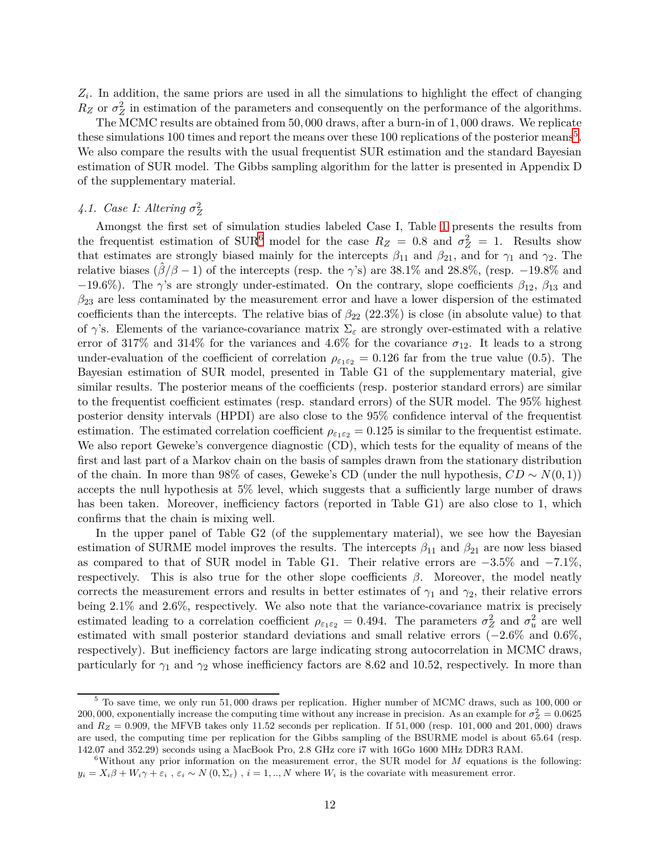*Zi* . In addition, the same priors are used in all the simulations to highlight the effect of changing  $R_Z$  or  $\sigma_Z^2$  in estimation of the parameters and consequently on the performance of the algorithms.

The MCMC results are obtained from 50*,* 000 draws, after a burn-in of 1*,* 000 draws. We replicate these simulations 100 times and report the means over these 100 replications of the posterior means<sup>[5](#page-11-0)</sup>. We also compare the results with the usual frequentist SUR estimation and the standard Bayesian estimation of SUR model. The Gibbs sampling algorithm for the latter is presented in Appendix D of the supplementary material.

## *4.1. Case I: Altering σ* 2 *Z*

Amongst the first set of simulation studies labeled Case I, Table [1](#page-22-0) presents the results from the frequentist estimation of SUR<sup>[6](#page-11-1)</sup> model for the case  $R_Z = 0.8$  and  $\sigma_Z^2 = 1$ . Results show that estimates are strongly biased mainly for the intercepts  $\beta_{11}$  and  $\beta_{21}$ , and for  $\gamma_1$  and  $\gamma_2$ . The relative biases  $(\beta/\beta - 1)$  of the intercepts (resp. the *γ*'s) are 38.1% and 28.8%, (resp. −19.8% and  $-19.6\%$ ). The *γ*'s are strongly under-estimated. On the contrary, slope coefficients  $\beta_{12}$ ,  $\beta_{13}$  and *β*<sup>23</sup> are less contaminated by the measurement error and have a lower dispersion of the estimated coefficients than the intercepts. The relative bias of  $\beta_{22}$  (22.3%) is close (in absolute value) to that of  $\gamma$ 's. Elements of the variance-covariance matrix  $\Sigma_{\varepsilon}$  are strongly over-estimated with a relative error of 317% and 314% for the variances and 4.6% for the covariance  $\sigma_{12}$ . It leads to a strong under-evaluation of the coefficient of correlation  $\rho_{\varepsilon_1\varepsilon_2} = 0.126$  far from the true value (0.5). The Bayesian estimation of SUR model, presented in Table G1 of the supplementary material, give similar results. The posterior means of the coefficients (resp. posterior standard errors) are similar to the frequentist coefficient estimates (resp. standard errors) of the SUR model. The 95% highest posterior density intervals (HPDI) are also close to the 95% confidence interval of the frequentist estimation. The estimated correlation coefficient  $\rho_{\varepsilon_1\varepsilon_2} = 0.125$  is similar to the frequentist estimate. We also report Geweke's convergence diagnostic (CD), which tests for the equality of means of the first and last part of a Markov chain on the basis of samples drawn from the stationary distribution of the chain. In more than 98% of cases, Geweke's CD (under the null hypothesis,  $CD \sim N(0, 1)$ ) accepts the null hypothesis at 5% level, which suggests that a sufficiently large number of draws has been taken. Moreover, inefficiency factors (reported in Table G1) are also close to 1, which confirms that the chain is mixing well.

In the upper panel of Table G2 (of the supplementary material), we see how the Bayesian estimation of SURME model improves the results. The intercepts  $\beta_{11}$  and  $\beta_{21}$  are now less biased as compared to that of SUR model in Table G1. Their relative errors are −3*.*5% and −7*.*1%, respectively. This is also true for the other slope coefficients *β*. Moreover, the model neatly corrects the measurement errors and results in better estimates of  $\gamma_1$  and  $\gamma_2$ , their relative errors being 2*.*1% and 2*.*6%, respectively. We also note that the variance-covariance matrix is precisely estimated leading to a correlation coefficient  $\rho_{\varepsilon_1 \varepsilon_2} = 0.494$ . The parameters  $\sigma_Z^2$  and  $\sigma_u^2$  are well estimated with small posterior standard deviations and small relative errors (−2*.*6% and 0*.*6%, respectively). But inefficiency factors are large indicating strong autocorrelation in MCMC draws, particularly for  $\gamma_1$  and  $\gamma_2$  whose inefficiency factors are 8.62 and 10.52, respectively. In more than

<span id="page-11-0"></span><sup>5</sup> To save time, we only run 51*,* 000 draws per replication. Higher number of MCMC draws, such as 100*,* 000 or 200,000, exponentially increase the computing time without any increase in precision. As an example for  $\sigma_Z^2 = 0.0625$ and *R<sup>Z</sup>* = 0*.*909, the MFVB takes only 11*.*52 seconds per replication. If 51*,* 000 (resp. 101*,* 000 and 201*,* 000) draws are used, the computing time per replication for the Gibbs sampling of the BSURME model is about 65*.*64 (resp. 142*.*07 and 352*.*29) seconds using a MacBook Pro, 2.8 GHz core i7 with 16Go 1600 MHz DDR3 RAM.

<span id="page-11-1"></span><sup>6</sup>Without any prior information on the measurement error, the SUR model for *M* equations is the following:  $y_i = X_i \beta + W_i \gamma + \varepsilon_i$ ,  $\varepsilon_i \sim N(0, \Sigma_{\varepsilon})$ ,  $i = 1, ..., N$  where  $W_i$  is the covariate with measurement error.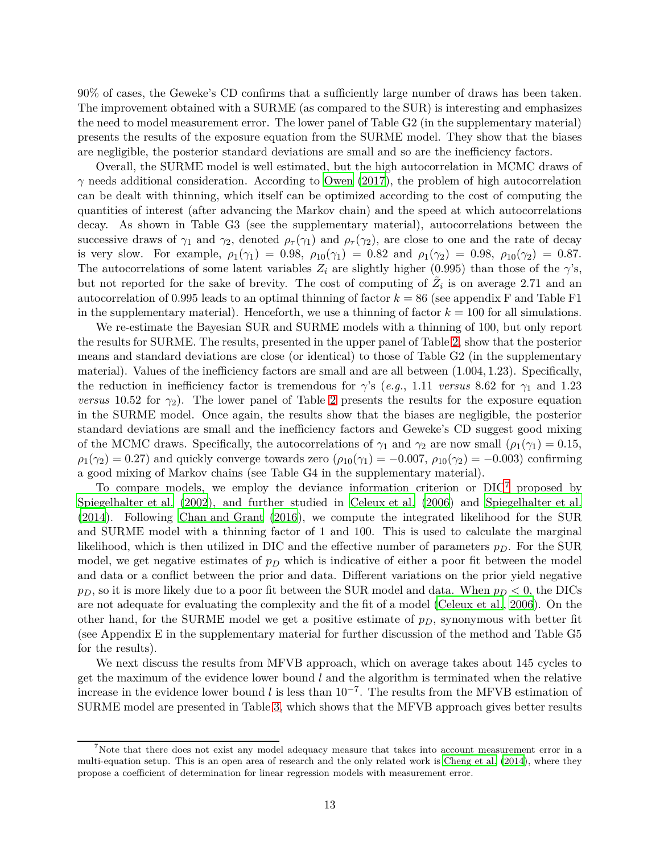90% of cases, the Geweke's CD confirms that a sufficiently large number of draws has been taken. The improvement obtained with a SURME (as compared to the SUR) is interesting and emphasizes the need to model measurement error. The lower panel of Table G2 (in the supplementary material) presents the results of the exposure equation from the SURME model. They show that the biases are negligible, the posterior standard deviations are small and so are the inefficiency factors.

Overall, the SURME model is well estimated, but the high autocorrelation in MCMC draws of *γ* needs additional consideration. According to [Owen](#page-20-5) [\(2017](#page-20-5)), the problem of high autocorrelation can be dealt with thinning, which itself can be optimized according to the cost of computing the quantities of interest (after advancing the Markov chain) and the speed at which autocorrelations decay. As shown in Table G3 (see the supplementary material), autocorrelations between the successive draws of  $\gamma_1$  and  $\gamma_2$ , denoted  $\rho_\tau(\gamma_1)$  and  $\rho_\tau(\gamma_2)$ , are close to one and the rate of decay is very slow. For example,  $\rho_1(\gamma_1) = 0.98$ ,  $\rho_{10}(\gamma_1) = 0.82$  and  $\rho_1(\gamma_2) = 0.98$ ,  $\rho_{10}(\gamma_2) = 0.87$ . The autocorrelations of some latent variables  $Z_i$  are slightly higher (0.995) than those of the  $\gamma$ 's, but not reported for the sake of brevity. The cost of computing of  $\tilde{Z}_i$  is on average 2.71 and an autocorrelation of 0*.*995 leads to an optimal thinning of factor *k* = 86 (see appendix F and Table F1 in the supplementary material). Henceforth, we use a thinning of factor  $k = 100$  for all simulations.

We re-estimate the Bayesian SUR and SURME models with a thinning of 100, but only report the results for SURME. The results, presented in the upper panel of Table [2,](#page-22-1) show that the posterior means and standard deviations are close (or identical) to those of Table G2 (in the supplementary material). Values of the inefficiency factors are small and are all between (1*.*004*,* 1*.*23). Specifically, the reduction in inefficiency factor is tremendous for  $\gamma$ 's (*e.g.*, 1.11 *versus* 8.62 for  $\gamma_1$  and 1.23 *versus* 10.52 for  $\gamma_2$ ). The lower panel of Table [2](#page-22-1) presents the results for the exposure equation in the SURME model. Once again, the results show that the biases are negligible, the posterior standard deviations are small and the inefficiency factors and Geweke's CD suggest good mixing of the MCMC draws. Specifically, the autocorrelations of  $\gamma_1$  and  $\gamma_2$  are now small ( $\rho_1(\gamma_1) = 0.15$ ,  $\rho_1(\gamma_2) = 0.27$ ) and quickly converge towards zero  $(\rho_{10}(\gamma_1) = -0.007, \rho_{10}(\gamma_2) = -0.003)$  confirming a good mixing of Markov chains (see Table G4 in the supplementary material).

To compare models, we employ the deviance information criterion or  $DIC<sup>7</sup>$  $DIC<sup>7</sup>$  $DIC<sup>7</sup>$  proposed by [Spiegelhalter et al. \(2002](#page-21-10)), and further studied in [Celeux et al. \(2006](#page-19-13)) and [Spiegelhalter et al.](#page-21-11) [\(2014](#page-21-11)). Following [Chan and Grant \(2016](#page-19-14)), we compute the integrated likelihood for the SUR and SURME model with a thinning factor of 1 and 100. This is used to calculate the marginal likelihood, which is then utilized in DIC and the effective number of parameters *pD*. For the SUR model, we get negative estimates of *p<sup>D</sup>* which is indicative of either a poor fit between the model and data or a conflict between the prior and data. Different variations on the prior yield negative  $p<sub>D</sub>$ , so it is more likely due to a poor fit between the SUR model and data. When  $p<sub>D</sub> < 0$ , the DICs are not adequate for evaluating the complexity and the fit of a model [\(Celeux et al., 2006](#page-19-13)). On the other hand, for the SURME model we get a positive estimate of *pD*, synonymous with better fit (see Appendix E in the supplementary material for further discussion of the method and Table G5 for the results).

We next discuss the results from MFVB approach, which on average takes about 145 cycles to get the maximum of the evidence lower bound *l* and the algorithm is terminated when the relative increase in the evidence lower bound *l* is less than 10−<sup>7</sup> . The results from the MFVB estimation of SURME model are presented in Table [3,](#page-23-0) which shows that the MFVB approach gives better results

<span id="page-12-0"></span><sup>&</sup>lt;sup>7</sup>Note that there does not exist any model adequacy measure that takes into account measurement error in a multi-equation setup. This is an open area of research and the only related work is [Cheng et al.](#page-19-15) [\(2014](#page-19-15)), where they propose a coefficient of determination for linear regression models with measurement error.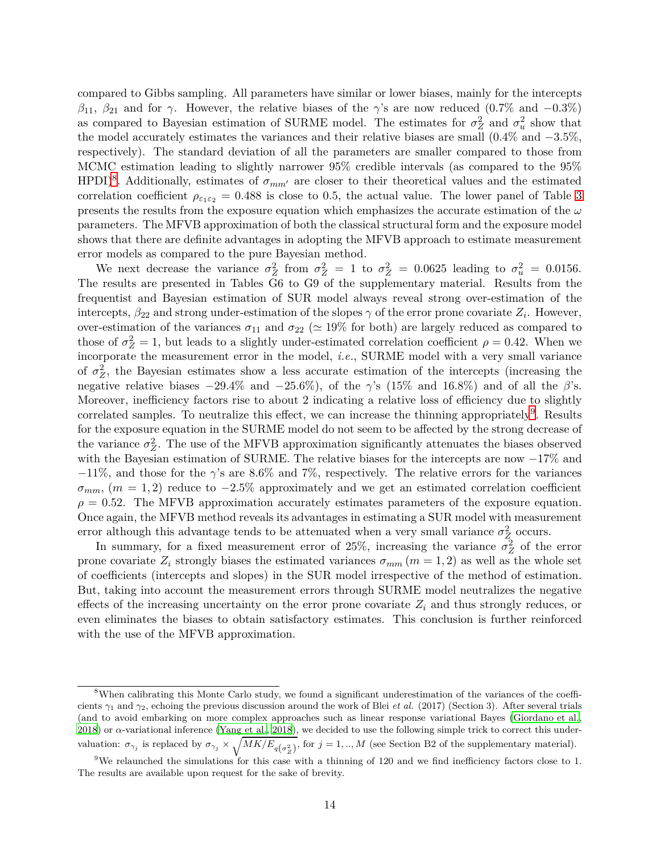compared to Gibbs sampling. All parameters have similar or lower biases, mainly for the intercepts *β*<sub>11</sub>, *β*<sub>21</sub> and for *γ*. However, the relative biases of the *γ*'s are now reduced (0.7% and −0.3%) as compared to Bayesian estimation of SURME model. The estimates for  $\sigma_Z^2$  and  $\sigma_u^2$  show that the model accurately estimates the variances and their relative biases are small (0*.*4% and −3*.*5%, respectively). The standard deviation of all the parameters are smaller compared to those from MCMC estimation leading to slightly narrower 95% credible intervals (as compared to the 95% HPDI)<sup>[8](#page-13-0)</sup>. Additionally, estimates of  $\sigma_{mm'}$  are closer to their theoretical values and the estimated correlation coefficient  $\rho_{\varepsilon_1\varepsilon_2} = 0.488$  is close to 0.5, the actual value. The lower panel of Table [3](#page-23-0) presents the results from the exposure equation which emphasizes the accurate estimation of the *ω* parameters. The MFVB approximation of both the classical structural form and the exposure model shows that there are definite advantages in adopting the MFVB approach to estimate measurement error models as compared to the pure Bayesian method.

We next decrease the variance  $\sigma_Z^2$  from  $\sigma_Z^2 = 1$  to  $\sigma_Z^2 = 0.0625$  leading to  $\sigma_u^2 = 0.0156$ . The results are presented in Tables G6 to G9 of the supplementary material. Results from the frequentist and Bayesian estimation of SUR model always reveal strong over-estimation of the intercepts,  $\beta_{22}$  and strong under-estimation of the slopes  $\gamma$  of the error prone covariate  $Z_i$ . However, over-estimation of the variances  $\sigma_{11}$  and  $\sigma_{22}$  ( $\simeq 19\%$  for both) are largely reduced as compared to those of  $\sigma_Z^2 = 1$ , but leads to a slightly under-estimated correlation coefficient  $\rho = 0.42$ . When we incorporate the measurement error in the model, *i.e.*, SURME model with a very small variance of  $\sigma_Z^2$ , the Bayesian estimates show a less accurate estimation of the intercepts (increasing the negative relative biases  $-29.4\%$  and  $-25.6\%$ ), of the *γ*'s (15% and 16.8%) and of all the *β*'s. Moreover, inefficiency factors rise to about 2 indicating a relative loss of efficiency due to slightly correlated samples. To neutralize this effect, we can increase the thinning appropriately<sup>[9](#page-13-1)</sup>. Results for the exposure equation in the SURME model do not seem to be affected by the strong decrease of the variance  $\sigma_Z^2$ . The use of the MFVB approximation significantly attenuates the biases observed with the Bayesian estimation of SURME. The relative biases for the intercepts are now −17% and −11%, and those for the *γ*'s are 8*.*6% and 7%, respectively. The relative errors for the variances  $\sigma_{mm}$ , (*m* = 1,2) reduce to −2.5% approximately and we get an estimated correlation coefficient  $\rho = 0.52$ . The MFVB approximation accurately estimates parameters of the exposure equation. Once again, the MFVB method reveals its advantages in estimating a SUR model with measurement error although this advantage tends to be attenuated when a very small variance  $\sigma_Z^2$  occurs.

In summary, for a fixed measurement error of 25%, increasing the variance  $\sigma_Z^2$  of the error prone covariate  $Z_i$  strongly biases the estimated variances  $\sigma_{mm}$  ( $m = 1, 2$ ) as well as the whole set of coefficients (intercepts and slopes) in the SUR model irrespective of the method of estimation. But, taking into account the measurement errors through SURME model neutralizes the negative effects of the increasing uncertainty on the error prone covariate  $Z_i$  and thus strongly reduces, or even eliminates the biases to obtain satisfactory estimates. This conclusion is further reinforced with the use of the MFVB approximation.

<span id="page-13-0"></span><sup>&</sup>lt;sup>8</sup>When calibrating this Monte Carlo study, we found a significant underestimation of the variances of the coefficients *γ*<sup>1</sup> and *γ*2, echoing the previous discussion around the work of Blei *et al.* (2017) (Section 3). After several trials (and to avoid embarking on more complex approaches such as linear response variational Bayes [\(Giordano et al.](#page-20-13), [2018](#page-20-13)) or *α*-variational inference [\(Yang et al.](#page-21-12), [2018](#page-21-12)), we decided to use the following simple trick to correct this undervaluation:  $\sigma_{\gamma_j}$  is replaced by  $\sigma_{\gamma_j} \times \sqrt{MK/E_{q(\sigma_Z^2)}}$ , for  $j = 1, ..., M$  (see Section B2 of the supplementary material).

<span id="page-13-1"></span><sup>9</sup>We relaunched the simulations for this case with a thinning of 120 and we find inefficiency factors close to 1. The results are available upon request for the sake of brevity.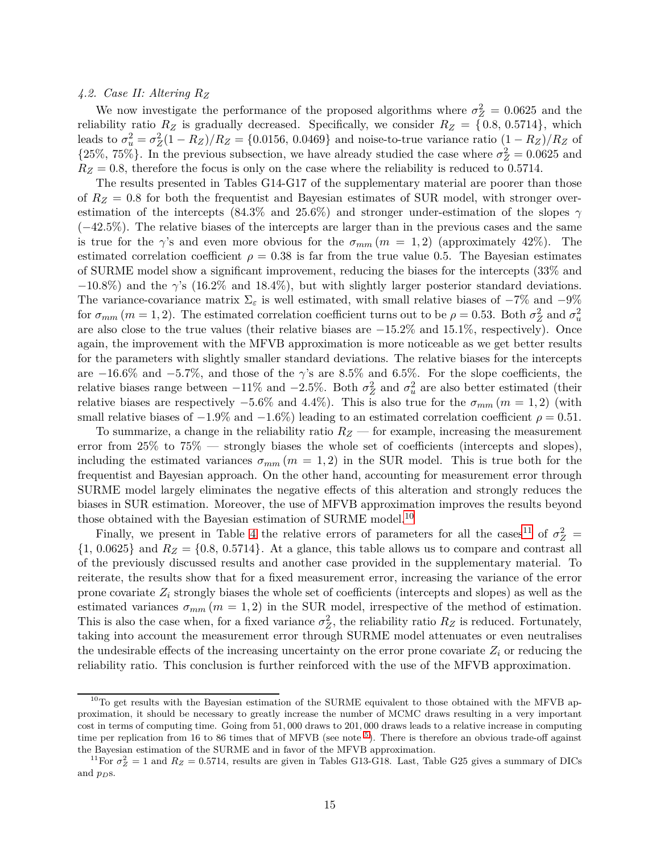#### *4.2. Case II: Altering R<sup>Z</sup>*

We now investigate the performance of the proposed algorithms where  $\sigma_Z^2 = 0.0625$  and the reliability ratio  $R_Z$  is gradually decreased. Specifically, we consider  $R_Z = \{0.8, 0.5714\}$ , which leads to  $\sigma_u^2 = \sigma_Z^2(1 - R_Z)/R_Z = \{0.0156, 0.0469\}$  and noise-to-true variance ratio  $(1 - R_Z)/R_Z$  of  ${25\%, 75\%}$ . In the previous subsection, we have already studied the case where  $\sigma_Z^2 = 0.0625$  and  $R_Z = 0.8$ , therefore the focus is only on the case where the reliability is reduced to 0.5714.

The results presented in Tables G14-G17 of the supplementary material are poorer than those of *R<sup>Z</sup>* = 0*.*8 for both the frequentist and Bayesian estimates of SUR model, with stronger overestimation of the intercepts (84*.*3% and 25*.*6%) and stronger under-estimation of the slopes *γ* (−42*.*5%). The relative biases of the intercepts are larger than in the previous cases and the same is true for the *γ*'s and even more obvious for the  $\sigma_{mm}(m = 1, 2)$  (approximately 42%). The estimated correlation coefficient  $\rho = 0.38$  is far from the true value 0.5. The Bayesian estimates of SURME model show a significant improvement, reducing the biases for the intercepts (33% and −10*.*8%) and the *γ*'s (16*.*2% and 18*.*4%), but with slightly larger posterior standard deviations. The variance-covariance matrix  $\Sigma_{\varepsilon}$  is well estimated, with small relative biases of  $-7\%$  and  $-9\%$ for  $\sigma_{mm}$  (*m* = 1, 2). The estimated correlation coefficient turns out to be  $\rho = 0.53$ . Both  $\sigma_Z^2$  and  $\sigma_u^2$ are also close to the true values (their relative biases are −15*.*2% and 15*.*1%, respectively). Once again, the improvement with the MFVB approximation is more noticeable as we get better results for the parameters with slightly smaller standard deviations. The relative biases for the intercepts are −16*.*6% and −5*.*7%, and those of the *γ*'s are 8*.*5% and 6*.*5%. For the slope coefficients, the relative biases range between  $-11\%$  and  $-2.5\%$ . Both  $\sigma_Z^2$  and  $\sigma_u^2$  are also better estimated (their relative biases are respectively  $-5.6\%$  and 4.4%). This is also true for the  $\sigma_{mm}$  ( $m = 1, 2$ ) (with small relative biases of  $-1.9\%$  and  $-1.6\%$ ) leading to an estimated correlation coefficient  $\rho = 0.51$ .

To summarize, a change in the reliability ratio  $R_Z$  — for example, increasing the measurement error from 25% to 75% — strongly biases the whole set of coefficients (intercepts and slopes), including the estimated variances  $\sigma_{mm}$  ( $m = 1, 2$ ) in the SUR model. This is true both for the frequentist and Bayesian approach. On the other hand, accounting for measurement error through SURME model largely eliminates the negative effects of this alteration and strongly reduces the biases in SUR estimation. Moreover, the use of MFVB approximation improves the results beyond those obtained with the Bayesian estimation of SURME model.[10](#page-14-0)

Finally, we present in Table [4](#page-24-0) the relative errors of parameters for all the cases<sup>[11](#page-14-1)</sup> of  $\sigma_Z^2$  =  $\{1, 0.0625\}$  and  $R_Z = \{0.8, 0.5714\}$ . At a glance, this table allows us to compare and contrast all of the previously discussed results and another case provided in the supplementary material. To reiterate, the results show that for a fixed measurement error, increasing the variance of the error prone covariate *Z<sup>i</sup>* strongly biases the whole set of coefficients (intercepts and slopes) as well as the estimated variances  $\sigma_{mm}$  ( $m = 1, 2$ ) in the SUR model, irrespective of the method of estimation. This is also the case when, for a fixed variance  $\sigma_Z^2$ , the reliability ratio  $R_Z$  is reduced. Fortunately, taking into account the measurement error through SURME model attenuates or even neutralises the undesirable effects of the increasing uncertainty on the error prone covariate  $Z_i$  or reducing the reliability ratio. This conclusion is further reinforced with the use of the MFVB approximation.

<span id="page-14-0"></span> $10$ To get results with the Bayesian estimation of the SURME equivalent to those obtained with the MFVB approximation, it should be necessary to greatly increase the number of MCMC draws resulting in a very important cost in terms of computing time. Going from 51*,* 000 draws to 201*,* 000 draws leads to a relative increase in computing time per replication from 16 to 86 times that of MFVB (see note <sup>[5](#page-11-0)</sup>). There is therefore an obvious trade-off against the Bayesian estimation of the SURME and in favor of the MFVB approximation.

<span id="page-14-1"></span><sup>&</sup>lt;sup>11</sup>For  $\sigma_Z^2 = 1$  and  $R_Z = 0.5714$ , results are given in Tables G13-G18. Last, Table G25 gives a summary of DICs and *pD*s.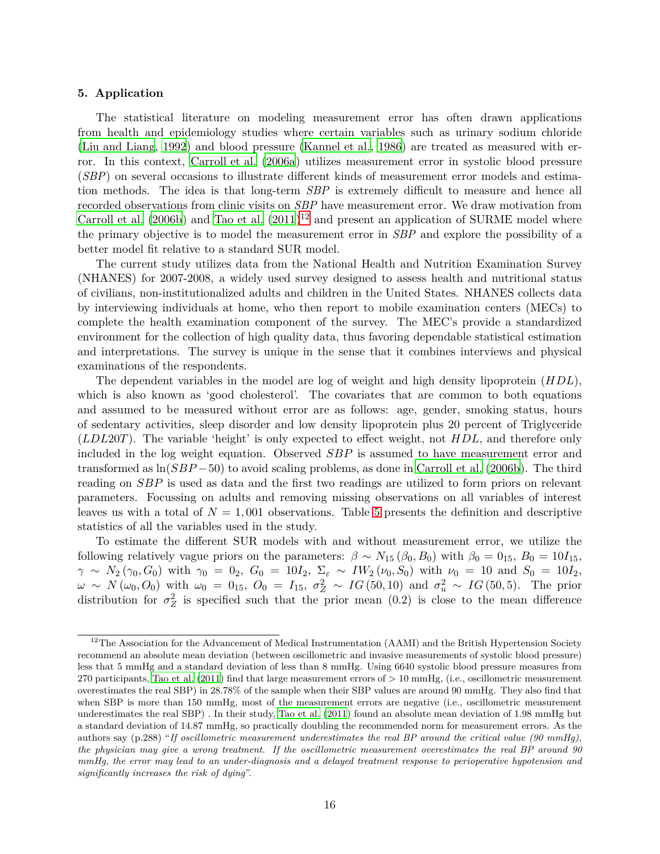#### **5. Application**

The statistical literature on modeling measurement error has often drawn applications from health and epidemiology studies where certain variables such as urinary sodium chloride [\(Liu and Liang, 1992\)](#page-20-14) and blood pressure [\(Kannel et al., 1986\)](#page-20-15) are treated as measured with error. In this context, [Carroll et al.](#page-19-5) [\(2006a](#page-19-5)) utilizes measurement error in systolic blood pressure (*SBP*) on several occasions to illustrate different kinds of measurement error models and estimation methods. The idea is that long-term *SBP* is extremely difficult to measure and hence all recorded observations from clinic visits on *SBP* have measurement error. We draw motivation from [Carroll et al. \(2006b](#page-19-6)) and [Tao et al.](#page-21-13)  $(2011)^{12}$  $(2011)^{12}$  $(2011)^{12}$  $(2011)^{12}$  and present an application of SURME model where the primary objective is to model the measurement error in *SBP* and explore the possibility of a better model fit relative to a standard SUR model.

The current study utilizes data from the National Health and Nutrition Examination Survey (NHANES) for 2007-2008, a widely used survey designed to assess health and nutritional status of civilians, non-institutionalized adults and children in the United States. NHANES collects data by interviewing individuals at home, who then report to mobile examination centers (MECs) to complete the health examination component of the survey. The MEC's provide a standardized environment for the collection of high quality data, thus favoring dependable statistical estimation and interpretations. The survey is unique in the sense that it combines interviews and physical examinations of the respondents.

The dependent variables in the model are log of weight and high density lipoprotein (*HDL*), which is also known as 'good cholesterol'. The covariates that are common to both equations and assumed to be measured without error are as follows: age, gender, smoking status, hours of sedentary activities, sleep disorder and low density lipoprotein plus 20 percent of Triglyceride (*LDL*20*T*). The variable 'height' is only expected to effect weight, not *HDL*, and therefore only included in the log weight equation. Observed *SBP* is assumed to have measurement error and transformed as ln(*SBP* −50) to avoid scaling problems, as done in [Carroll et al.](#page-19-6) [\(2006b\)](#page-19-6). The third reading on *SBP* is used as data and the first two readings are utilized to form priors on relevant parameters. Focussing on adults and removing missing observations on all variables of interest leaves us with a total of  $N = 1,001$  observations. Table [5](#page-25-0) presents the definition and descriptive statistics of all the variables used in the study.

To estimate the different SUR models with and without measurement error, we utilize the following relatively vague priors on the parameters:  $\beta \sim N_{15} (\beta_0, B_0)$  with  $\beta_0 = 0_{15}$ ,  $B_0 = 10I_{15}$ ,  $\gamma \sim N_2(\gamma_0, G_0)$  with  $\gamma_0 = 0_2$ ,  $G_0 = 10I_2$ ,  $\Sigma_{\varepsilon} \sim IW_2(\nu_0, S_0)$  with  $\nu_0 = 10$  and  $S_0 = 10I_2$ ,  $ω \sim N(\omega_0, O_0)$  with  $ω_0 = 0_{15}$ ,  $O_0 = I_{15}$ ,  $σ_Z^2 \sim IG(50, 10)$  and  $σ_u^2 \sim IG(50, 5)$ . The prior distribution for  $\sigma_Z^2$  is specified such that the prior mean (0.2) is close to the mean difference

<span id="page-15-0"></span><sup>&</sup>lt;sup>12</sup>The Association for the Advancement of Medical Instrumentation (AAMI) and the British Hypertension Society recommend an absolute mean deviation (between oscillometric and invasive measurements of systolic blood pressure) less that 5 mmHg and a standard deviation of less than 8 mmHg. Using 6640 systolic blood pressure measures from 270 participants, [Tao et al.](#page-21-13) [\(2011](#page-21-13)) find that large measurement errors of *>* 10 mmHg, (i.e., oscillometric measurement overestimates the real SBP) in 28*.*78% of the sample when their SBP values are around 90 mmHg. They also find that when SBP is more than 150 mmHg, most of the measurement errors are negative (i.e., oscillometric measurement underestimates the real SBP) . In their study, [Tao et al.](#page-21-13) [\(2011\)](#page-21-13) found an absolute mean deviation of 1*.*98 mmHg but a standard deviation of 14*.*87 mmHg, so practically doubling the recommended norm for measurement errors. As the authors say (p.288) "*If oscillometric measurement underestimates the real BP around the critical value (90 mmHg), the physician may give a wrong treatment. If the oscillometric measurement overestimates the real BP around 90 mmHg, the error may lead to an under-diagnosis and a delayed treatment response to perioperative hypotension and significantly increases the risk of dying*".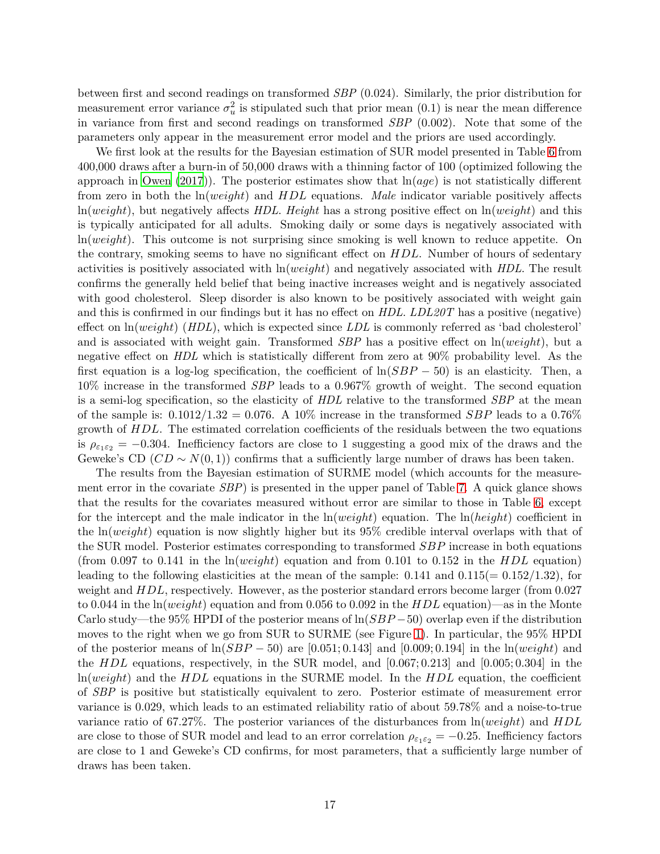between first and second readings on transformed *SBP* (0*.*024). Similarly, the prior distribution for measurement error variance  $\sigma_u^2$  is stipulated such that prior mean  $(0.1)$  is near the mean difference in variance from first and second readings on transformed *SBP* (0*.*002). Note that some of the parameters only appear in the measurement error model and the priors are used accordingly.

We first look at the results for the Bayesian estimation of SUR model presented in Table [6](#page-25-1) from 400,000 draws after a burn-in of 50,000 draws with a thinning factor of 100 (optimized following the approach in [Owen](#page-20-5) [\(2017\)](#page-20-5)). The posterior estimates show that ln(*age*) is not statistically different from zero in both the ln(*weight*) and *HDL* equations. *Male* indicator variable positively affects ln(*weight*), but negatively affects *HDL*. *Height* has a strong positive effect on ln(*weight*) and this is typically anticipated for all adults. Smoking daily or some days is negatively associated with ln(*weight*). This outcome is not surprising since smoking is well known to reduce appetite. On the contrary, smoking seems to have no significant effect on *HDL*. Number of hours of sedentary activities is positively associated with ln(*weight*) and negatively associated with *HDL*. The result confirms the generally held belief that being inactive increases weight and is negatively associated with good cholesterol. Sleep disorder is also known to be positively associated with weight gain and this is confirmed in our findings but it has no effect on *HDL*. *LDL20T* has a positive (negative) effect on ln(*weight*) (*HDL*), which is expected since *LDL* is commonly referred as 'bad cholesterol' and is associated with weight gain. Transformed *SBP* has a positive effect on ln(*weight*), but a negative effect on *HDL* which is statistically different from zero at 90% probability level. As the first equation is a log-log specification, the coefficient of ln(*SBP* − 50) is an elasticity. Then, a 10% increase in the transformed *SBP* leads to a 0*.*967% growth of weight. The second equation is a semi-log specification, so the elasticity of *HDL* relative to the transformed *SBP* at the mean of the sample is:  $0.1012/1.32 = 0.076$ . A 10% increase in the transformed *SBP* leads to a 0.76% growth of *HDL*. The estimated correlation coefficients of the residuals between the two equations is  $\rho_{\epsilon_1 \epsilon_2} = -0.304$ . Inefficiency factors are close to 1 suggesting a good mix of the draws and the Geweke's CD ( $CD \sim N(0, 1)$ ) confirms that a sufficiently large number of draws has been taken.

The results from the Bayesian estimation of SURME model (which accounts for the measurement error in the covariate *SBP*) is presented in the upper panel of Table [7.](#page-26-0) A quick glance shows that the results for the covariates measured without error are similar to those in Table [6,](#page-25-1) except for the intercept and the male indicator in the ln(*weight*) equation. The ln(*height*) coefficient in the ln(*weight*) equation is now slightly higher but its 95% credible interval overlaps with that of the SUR model. Posterior estimates corresponding to transformed *SBP* increase in both equations (from 0.097 to 0.141 in the  $ln(weight)$  equation and from 0.101 to 0.152 in the  $HDL$  equation) leading to the following elasticities at the mean of the sample:  $0.141$  and  $0.115(= 0.152/1.32)$ , for weight and *HDL*, respectively. However, as the posterior standard errors become larger (from 0*.*027 to 0*.*044 in the ln(*weight*) equation and from 0*.*056 to 0*.*092 in the *HDL* equation)—as in the Monte Carlo study—the 95% HPDI of the posterior means of ln(*SBP* −50) overlap even if the distribution moves to the right when we go from SUR to SURME (see Figure [1\)](#page-28-0). In particular, the 95% HPDI of the posterior means of ln(*SBP* − 50) are [0*.*051; 0*.*143] and [0*.*009; 0*.*194] in the ln(*weight*) and the *HDL* equations, respectively, in the SUR model, and [0*.*067; 0*.*213] and [0*.*005; 0*.*304] in the ln(*weight*) and the *HDL* equations in the SURME model. In the *HDL* equation, the coefficient of *SBP* is positive but statistically equivalent to zero. Posterior estimate of measurement error variance is 0*.*029, which leads to an estimated reliability ratio of about 59*.*78% and a noise-to-true variance ratio of 67*.*27%. The posterior variances of the disturbances from ln(*weight*) and *HDL* are close to those of SUR model and lead to an error correlation  $\rho_{\epsilon_1\epsilon_2} = -0.25$ . Inefficiency factors are close to 1 and Geweke's CD confirms, for most parameters, that a sufficiently large number of draws has been taken.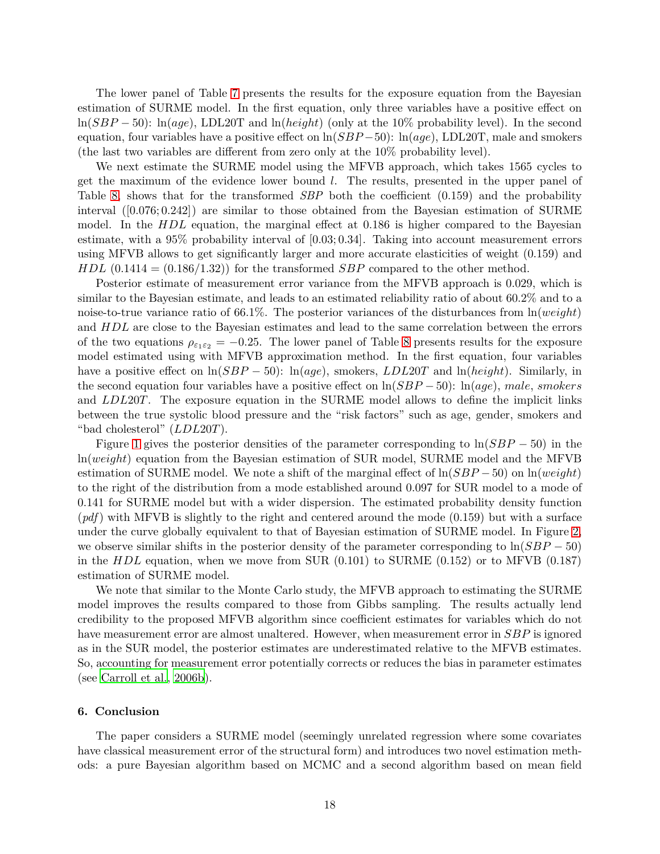The lower panel of Table [7](#page-26-0) presents the results for the exposure equation from the Bayesian estimation of SURME model. In the first equation, only three variables have a positive effect on ln(*SBP* − 50): ln(*age*), LDL20T and ln(*height*) (only at the 10% probability level). In the second equation, four variables have a positive effect on ln(*SBP* −50): ln(*age*), LDL20T, male and smokers (the last two variables are different from zero only at the 10% probability level).

We next estimate the SURME model using the MFVB approach, which takes 1565 cycles to get the maximum of the evidence lower bound *l*. The results, presented in the upper panel of Table [8,](#page-27-0) shows that for the transformed *SBP* both the coefficient (0*.*159) and the probability interval ([0*.*076; 0*.*242]) are similar to those obtained from the Bayesian estimation of SURME model. In the *HDL* equation, the marginal effect at 0*.*186 is higher compared to the Bayesian estimate, with a 95% probability interval of [0*.*03; 0*.*34]. Taking into account measurement errors using MFVB allows to get significantly larger and more accurate elasticities of weight (0*.*159) and *HDL*  $(0.1414 = (0.186/1.32))$  for the transformed *SBP* compared to the other method.

Posterior estimate of measurement error variance from the MFVB approach is 0*.*029, which is similar to the Bayesian estimate, and leads to an estimated reliability ratio of about 60*.*2% and to a noise-to-true variance ratio of 66*.*1%. The posterior variances of the disturbances from ln(*weight*) and *HDL* are close to the Bayesian estimates and lead to the same correlation between the errors of the two equations  $\rho_{\varepsilon_1\varepsilon_2}=-0.25$ . The lower panel of Table [8](#page-27-0) presents results for the exposure model estimated using with MFVB approximation method. In the first equation, four variables have a positive effect on ln(*SBP* − 50): ln(*age*), smokers, *LDL*20*T* and ln(*height*). Similarly, in the second equation four variables have a positive effect on ln(*SBP* − 50): ln(*age*), *male*, *smokers* and *LDL*20*T*. The exposure equation in the SURME model allows to define the implicit links between the true systolic blood pressure and the "risk factors" such as age, gender, smokers and "bad cholesterol" (*LDL*20*T*).

Figure [1](#page-28-0) gives the posterior densities of the parameter corresponding to ln(*SBP* − 50) in the ln(*weight*) equation from the Bayesian estimation of SUR model, SURME model and the MFVB estimation of SURME model. We note a shift of the marginal effect of ln(*SBP* −50) on ln(*weight*) to the right of the distribution from a mode established around 0*.*097 for SUR model to a mode of 0*.*141 for SURME model but with a wider dispersion. The estimated probability density function (*pdf*) with MFVB is slightly to the right and centered around the mode (0*.*159) but with a surface under the curve globally equivalent to that of Bayesian estimation of SURME model. In Figure [2,](#page-28-1) we observe similar shifts in the posterior density of the parameter corresponding to ln(*SBP* − 50) in the *HDL* equation, when we move from SUR (0*.*101) to SURME (0*.*152) or to MFVB (0*.*187) estimation of SURME model.

We note that similar to the Monte Carlo study, the MFVB approach to estimating the SURME model improves the results compared to those from Gibbs sampling. The results actually lend credibility to the proposed MFVB algorithm since coefficient estimates for variables which do not have measurement error are almost unaltered. However, when measurement error in *SBP* is ignored as in the SUR model, the posterior estimates are underestimated relative to the MFVB estimates. So, accounting for measurement error potentially corrects or reduces the bias in parameter estimates (see [Carroll et al.](#page-19-6), [2006b](#page-19-6)).

#### **6. Conclusion**

The paper considers a SURME model (seemingly unrelated regression where some covariates have classical measurement error of the structural form) and introduces two novel estimation methods: a pure Bayesian algorithm based on MCMC and a second algorithm based on mean field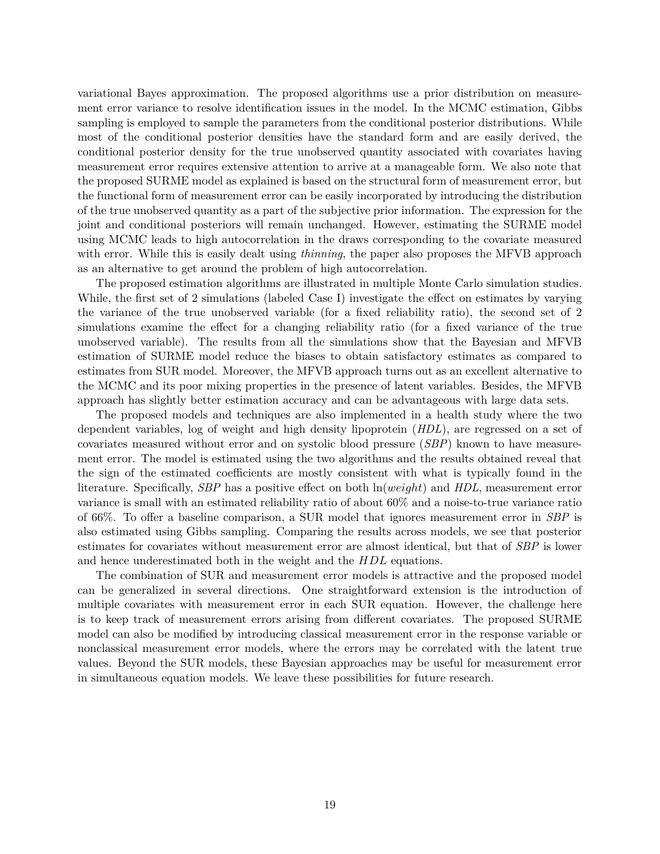variational Bayes approximation. The proposed algorithms use a prior distribution on measurement error variance to resolve identification issues in the model. In the MCMC estimation, Gibbs sampling is employed to sample the parameters from the conditional posterior distributions. While most of the conditional posterior densities have the standard form and are easily derived, the conditional posterior density for the true unobserved quantity associated with covariates having measurement error requires extensive attention to arrive at a manageable form. We also note that the proposed SURME model as explained is based on the structural form of measurement error, but the functional form of measurement error can be easily incorporated by introducing the distribution of the true unobserved quantity as a part of the subjective prior information. The expression for the joint and conditional posteriors will remain unchanged. However, estimating the SURME model using MCMC leads to high autocorrelation in the draws corresponding to the covariate measured with error. While this is easily dealt using *thinning*, the paper also proposes the MFVB approach as an alternative to get around the problem of high autocorrelation.

The proposed estimation algorithms are illustrated in multiple Monte Carlo simulation studies. While, the first set of 2 simulations (labeled Case I) investigate the effect on estimates by varying the variance of the true unobserved variable (for a fixed reliability ratio), the second set of 2 simulations examine the effect for a changing reliability ratio (for a fixed variance of the true unobserved variable). The results from all the simulations show that the Bayesian and MFVB estimation of SURME model reduce the biases to obtain satisfactory estimates as compared to estimates from SUR model. Moreover, the MFVB approach turns out as an excellent alternative to the MCMC and its poor mixing properties in the presence of latent variables. Besides, the MFVB approach has slightly better estimation accuracy and can be advantageous with large data sets.

The proposed models and techniques are also implemented in a health study where the two dependent variables, log of weight and high density lipoprotein (*HDL*), are regressed on a set of covariates measured without error and on systolic blood pressure (*SBP*) known to have measurement error. The model is estimated using the two algorithms and the results obtained reveal that the sign of the estimated coefficients are mostly consistent with what is typically found in the literature. Specifically, *SBP* has a positive effect on both ln(*weight*) and *HDL*, measurement error variance is small with an estimated reliability ratio of about 60% and a noise-to-true variance ratio of 66%. To offer a baseline comparison, a SUR model that ignores measurement error in *SBP* is also estimated using Gibbs sampling. Comparing the results across models, we see that posterior estimates for covariates without measurement error are almost identical, but that of *SBP* is lower and hence underestimated both in the weight and the *HDL* equations.

The combination of SUR and measurement error models is attractive and the proposed model can be generalized in several directions. One straightforward extension is the introduction of multiple covariates with measurement error in each SUR equation. However, the challenge here is to keep track of measurement errors arising from different covariates. The proposed SURME model can also be modified by introducing classical measurement error in the response variable or nonclassical measurement error models, where the errors may be correlated with the latent true values. Beyond the SUR models, these Bayesian approaches may be useful for measurement error in simultaneous equation models. We leave these possibilities for future research.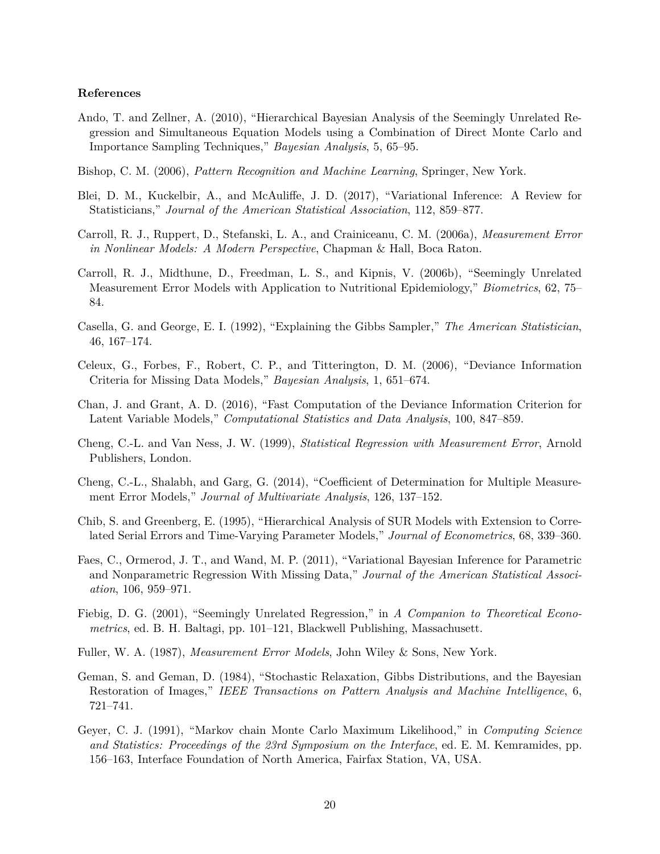#### **References**

- <span id="page-19-3"></span>Ando, T. and Zellner, A. (2010), "Hierarchical Bayesian Analysis of the Seemingly Unrelated Regression and Simultaneous Equation Models using a Combination of Direct Monte Carlo and Importance Sampling Techniques," *Bayesian Analysis*, 5, 65–95.
- <span id="page-19-10"></span>Bishop, C. M. (2006), *Pattern Recognition and Machine Learning*, Springer, New York.
- <span id="page-19-11"></span>Blei, D. M., Kuckelbir, A., and McAuliffe, J. D. (2017), "Variational Inference: A Review for Statisticians," *Journal of the American Statistical Association*, 112, 859–877.
- <span id="page-19-5"></span>Carroll, R. J., Ruppert, D., Stefanski, L. A., and Crainiceanu, C. M. (2006a), *Measurement Error in Nonlinear Models: A Modern Perspective*, Chapman & Hall, Boca Raton.
- <span id="page-19-6"></span>Carroll, R. J., Midthune, D., Freedman, L. S., and Kipnis, V. (2006b), "Seemingly Unrelated Measurement Error Models with Application to Nutritional Epidemiology," *Biometrics*, 62, 75– 84.
- <span id="page-19-2"></span>Casella, G. and George, E. I. (1992), "Explaining the Gibbs Sampler," *The American Statistician*, 46, 167–174.
- <span id="page-19-13"></span>Celeux, G., Forbes, F., Robert, C. P., and Titterington, D. M. (2006), "Deviance Information Criteria for Missing Data Models," *Bayesian Analysis*, 1, 651–674.
- <span id="page-19-14"></span>Chan, J. and Grant, A. D. (2016), "Fast Computation of the Deviance Information Criterion for Latent Variable Models," *Computational Statistics and Data Analysis*, 100, 847–859.
- <span id="page-19-7"></span>Cheng, C.-L. and Van Ness, J. W. (1999), *Statistical Regression with Measurement Error*, Arnold Publishers, London.
- <span id="page-19-15"></span>Cheng, C.-L., Shalabh, and Garg, G. (2014), "Coefficient of Determination for Multiple Measurement Error Models," *Journal of Multivariate Analysis*, 126, 137–152.
- <span id="page-19-4"></span>Chib, S. and Greenberg, E. (1995), "Hierarchical Analysis of SUR Models with Extension to Correlated Serial Errors and Time-Varying Parameter Models," *Journal of Econometrics*, 68, 339–360.
- <span id="page-19-12"></span>Faes, C., Ormerod, J. T., and Wand, M. P. (2011), "Variational Bayesian Inference for Parametric and Nonparametric Regression With Missing Data," *Journal of the American Statistical Association*, 106, 959–971.
- <span id="page-19-0"></span>Fiebig, D. G. (2001), "Seemingly Unrelated Regression," in *A Companion to Theoretical Econometrics*, ed. B. H. Baltagi, pp. 101–121, Blackwell Publishing, Massachusett.
- <span id="page-19-8"></span>Fuller, W. A. (1987), *Measurement Error Models*, John Wiley & Sons, New York.
- <span id="page-19-1"></span>Geman, S. and Geman, D. (1984), "Stochastic Relaxation, Gibbs Distributions, and the Bayesian Restoration of Images," *IEEE Transactions on Pattern Analysis and Machine Intelligence*, 6, 721–741.
- <span id="page-19-9"></span>Geyer, C. J. (1991), "Markov chain Monte Carlo Maximum Likelihood," in *Computing Science and Statistics: Proceedings of the 23rd Symposium on the Interface*, ed. E. M. Kemramides, pp. 156–163, Interface Foundation of North America, Fairfax Station, VA, USA.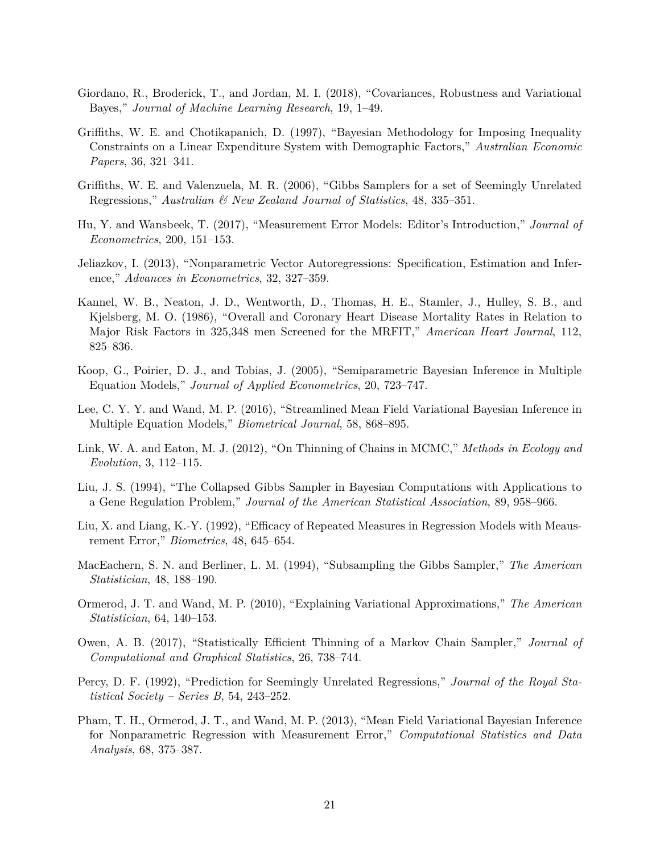- <span id="page-20-13"></span>Giordano, R., Broderick, T., and Jordan, M. I. (2018), "Covariances, Robustness and Variational Bayes," *Journal of Machine Learning Research*, 19, 1–49.
- <span id="page-20-1"></span>Griffiths, W. E. and Chotikapanich, D. (1997), "Bayesian Methodology for Imposing Inequality Constraints on a Linear Expenditure System with Demographic Factors," *Australian Economic Papers*, 36, 321–341.
- <span id="page-20-2"></span>Griffiths, W. E. and Valenzuela, M. R. (2006), "Gibbs Samplers for a set of Seemingly Unrelated Regressions," *Australian & New Zealand Journal of Statistics*, 48, 335–351.
- <span id="page-20-4"></span>Hu, Y. and Wansbeek, T. (2017), "Measurement Error Models: Editor's Introduction," *Journal of Econometrics*, 200, 151–153.
- <span id="page-20-12"></span>Jeliazkov, I. (2013), "Nonparametric Vector Autoregressions: Specification, Estimation and Inference," *Advances in Econometrics*, 32, 327–359.
- <span id="page-20-15"></span>Kannel, W. B., Neaton, J. D., Wentworth, D., Thomas, H. E., Stamler, J., Hulley, S. B., and Kjelsberg, M. O. (1986), "Overall and Coronary Heart Disease Mortality Rates in Relation to Major Risk Factors in 325,348 men Screened for the MRFIT," *American Heart Journal*, 112, 825–836.
- <span id="page-20-3"></span>Koop, G., Poirier, D. J., and Tobias, J. (2005), "Semiparametric Bayesian Inference in Multiple Equation Models," *Journal of Applied Econometrics*, 20, 723–747.
- <span id="page-20-11"></span>Lee, C. Y. Y. and Wand, M. P. (2016), "Streamlined Mean Field Variational Bayesian Inference in Multiple Equation Models," *Biometrical Journal*, 58, 868–895.
- <span id="page-20-6"></span>Link, W. A. and Eaton, M. J. (2012), "On Thinning of Chains in MCMC," *Methods in Ecology and Evolution*, 3, 112–115.
- <span id="page-20-7"></span>Liu, J. S. (1994), "The Collapsed Gibbs Sampler in Bayesian Computations with Applications to a Gene Regulation Problem," *Journal of the American Statistical Association*, 89, 958–966.
- <span id="page-20-14"></span>Liu, X. and Liang, K.-Y. (1992), "Efficacy of Repeated Measures in Regression Models with Meausrement Error," *Biometrics*, 48, 645–654.
- <span id="page-20-8"></span>MacEachern, S. N. and Berliner, L. M. (1994), "Subsampling the Gibbs Sampler," *The American Statistician*, 48, 188–190.
- <span id="page-20-9"></span>Ormerod, J. T. and Wand, M. P. (2010), "Explaining Variational Approximations," *The American Statistician*, 64, 140–153.
- <span id="page-20-5"></span>Owen, A. B. (2017), "Statistically Efficient Thinning of a Markov Chain Sampler," *Journal of Computational and Graphical Statistics*, 26, 738–744.
- <span id="page-20-0"></span>Percy, D. F. (1992), "Prediction for Seemingly Unrelated Regressions," *Journal of the Royal Statistical Society – Series B*, 54, 243–252.
- <span id="page-20-10"></span>Pham, T. H., Ormerod, J. T., and Wand, M. P. (2013), "Mean Field Variational Bayesian Inference for Nonparametric Regression with Measurement Error," *Computational Statistics and Data Analysis*, 68, 375–387.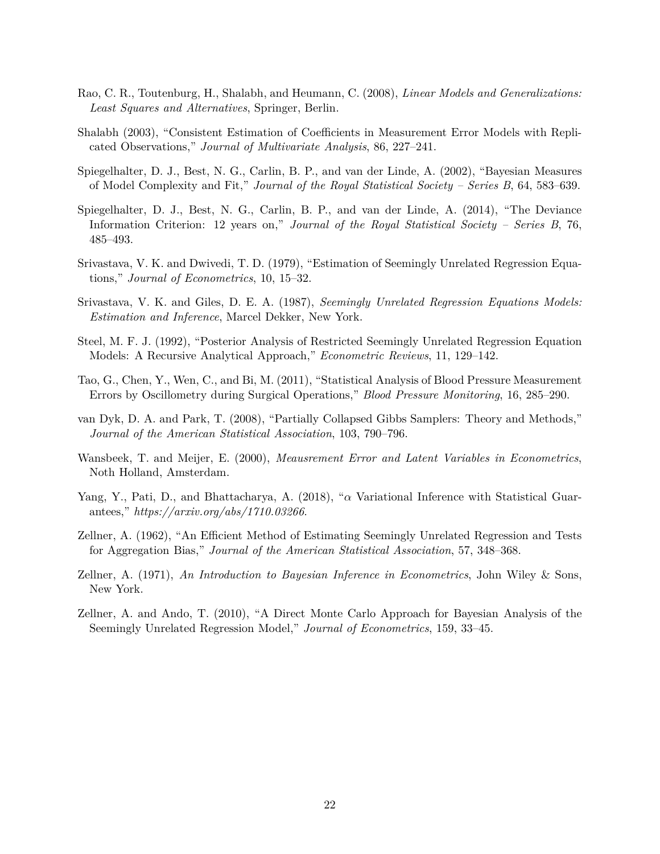- <span id="page-21-7"></span>Rao, C. R., Toutenburg, H., Shalabh, and Heumann, C. (2008), *Linear Models and Generalizations: Least Squares and Alternatives*, Springer, Berlin.
- <span id="page-21-8"></span>Shalabh (2003), "Consistent Estimation of Coefficients in Measurement Error Models with Replicated Observations," *Journal of Multivariate Analysis*, 86, 227–241.
- <span id="page-21-10"></span>Spiegelhalter, D. J., Best, N. G., Carlin, B. P., and van der Linde, A. (2002), "Bayesian Measures of Model Complexity and Fit," *Journal of the Royal Statistical Society – Series B*, 64, 583–639.
- <span id="page-21-11"></span>Spiegelhalter, D. J., Best, N. G., Carlin, B. P., and van der Linde, A. (2014), "The Deviance Information Criterion: 12 years on," *Journal of the Royal Statistical Society – Series B*, 76, 485–493.
- <span id="page-21-1"></span>Srivastava, V. K. and Dwivedi, T. D. (1979), "Estimation of Seemingly Unrelated Regression Equations," *Journal of Econometrics*, 10, 15–32.
- <span id="page-21-2"></span>Srivastava, V. K. and Giles, D. E. A. (1987), *Seemingly Unrelated Regression Equations Models: Estimation and Inference*, Marcel Dekker, New York.
- <span id="page-21-5"></span>Steel, M. F. J. (1992), "Posterior Analysis of Restricted Seemingly Unrelated Regression Equation Models: A Recursive Analytical Approach," *Econometric Reviews*, 11, 129–142.
- <span id="page-21-13"></span>Tao, G., Chen, Y., Wen, C., and Bi, M. (2011), "Statistical Analysis of Blood Pressure Measurement Errors by Oscillometry during Surgical Operations," *Blood Pressure Monitoring*, 16, 285–290.
- <span id="page-21-9"></span>van Dyk, D. A. and Park, T. (2008), "Partially Collapsed Gibbs Samplers: Theory and Methods," *Journal of the American Statistical Association*, 103, 790–796.
- <span id="page-21-6"></span>Wansbeek, T. and Meijer, E. (2000), *Meausrement Error and Latent Variables in Econometrics*, Noth Holland, Amsterdam.
- <span id="page-21-12"></span>Yang, Y., Pati, D., and Bhattacharya, A. (2018), "*α* Variational Inference with Statistical Guarantees," *https://arxiv.org/abs/1710.03266*.
- <span id="page-21-0"></span>Zellner, A. (1962), "An Efficient Method of Estimating Seemingly Unrelated Regression and Tests for Aggregation Bias," *Journal of the American Statistical Association*, 57, 348–368.
- <span id="page-21-3"></span>Zellner, A. (1971), *An Introduction to Bayesian Inference in Econometrics*, John Wiley & Sons, New York.
- <span id="page-21-4"></span>Zellner, A. and Ando, T. (2010), "A Direct Monte Carlo Approach for Bayesian Analysis of the Seemingly Unrelated Regression Model," *Journal of Econometrics*, 159, 33–45.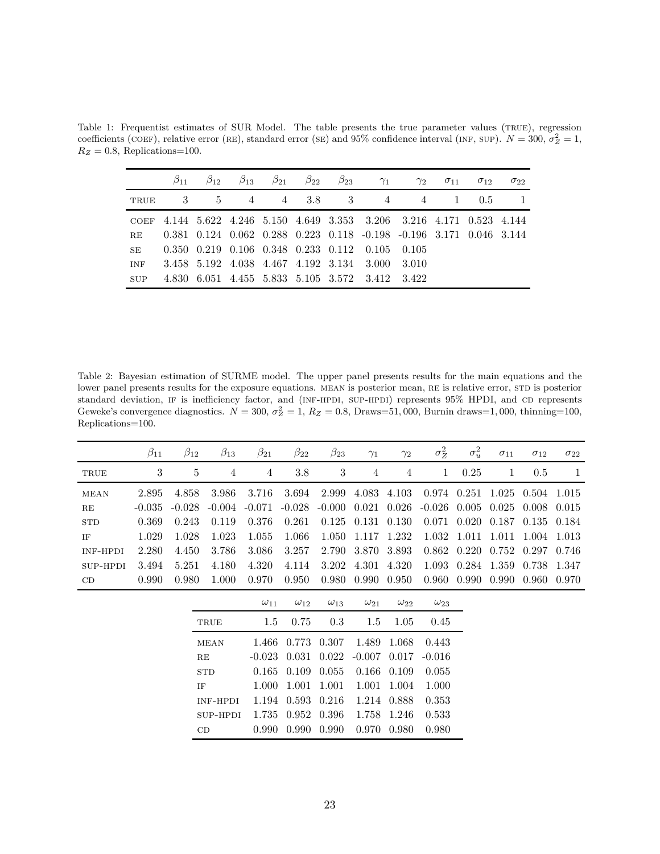<span id="page-22-0"></span>Table 1: Frequentist estimates of SUR Model. The table presents the true parameter values (TRUE), regression coefficients (COEF), relative error (RE), standard error (SE) and 95% confidence interval (INF, SUP).  $N = 300, \sigma_Z^2 = 1$ ,  $R_Z = 0.8$ , Replications=100.

|            | $\beta_{11}$ | $\beta_{12}$ | $\beta_{13}$ $\beta_{21}$ | $\beta_{22}$ | $\beta_{23}$ $\gamma_1$                                         | $\gamma_2$                                                                                | $\sigma_{11}$ $\sigma_{12}$ | $\sigma_{22}$ |
|------------|--------------|--------------|---------------------------|--------------|-----------------------------------------------------------------|-------------------------------------------------------------------------------------------|-----------------------------|---------------|
| TRUE       |              |              |                           |              | 3 5 4 4 3.8 3 4                                                 |                                                                                           | 4 1 0.5 1                   |               |
|            |              |              |                           |              |                                                                 | COEF 4.144 5.622 4.246 5.150 4.649 3.353 3.206 3.216 4.171 0.523 4.144                    |                             |               |
| RE         |              |              |                           |              |                                                                 | $0.381$ $0.124$ $0.062$ $0.288$ $0.223$ $0.118$ $-0.198$ $-0.196$ $3.171$ $0.046$ $3.144$ |                             |               |
| SE.        |              |              |                           |              | $0.350$ $0.219$ $0.106$ $0.348$ $0.233$ $0.112$ $0.105$ $0.105$ |                                                                                           |                             |               |
| <b>INF</b> |              |              |                           |              | 3.458 5.192 4.038 4.467 4.192 3.134 3.000 3.010                 |                                                                                           |                             |               |
| <b>SUP</b> |              |              |                           |              | 4.830 6.051 4.455 5.833 5.105 3.572 3.412 3.422                 |                                                                                           |                             |               |

<span id="page-22-1"></span>Table 2: Bayesian estimation of SURME model. The upper panel presents results for the main equations and the lower panel presents results for the exposure equations. MEAN is posterior mean, RE is relative error, STD is posterior standard deviation, IF is inefficiency factor, and (INF-HPDI, SUP-HPDI) represents 95% HPDI, and CD represents Geweke's convergence diagnostics.  $N = 300$ ,  $\sigma_Z^2 = 1$ ,  $R_Z = 0.8$ , Draws=51,000, Burnin draws=1,000, thinning=100, Replications=100.

|             | $\beta_{11}$ | $\beta_{12}$ | $\beta_{13}$   | $\beta_{21}$   | $\beta_{22}$ | $\beta_{23}$ | $\gamma_1$              | $\gamma_2$     | $\sigma_Z^2$                                                                  | $\sigma^2_u$ | $\sigma_{11}$                   | $\sigma_{12}$ | $\sigma_{22}$  |
|-------------|--------------|--------------|----------------|----------------|--------------|--------------|-------------------------|----------------|-------------------------------------------------------------------------------|--------------|---------------------------------|---------------|----------------|
| TRUE        | 3            | 5            | $\overline{4}$ | $\overline{4}$ | 3.8          | 3            | $\overline{4}$          | $\overline{4}$ | $\mathbf{1}$                                                                  | 0.25         |                                 | 0.5           | $\overline{1}$ |
| <b>MEAN</b> | 2.895        | 4.858        | 3.986          | 3.716          |              |              |                         |                | 3.694 2.999 4.083 4.103 0.974 0.251 1.025 0.504 1.015                         |              |                                 |               |                |
| RE          | $-0.035$     | $-0.028$     | $-0.004$       | $-0.071$       |              |              |                         |                | $-0.028$ $-0.000$ $0.021$ $0.026$ $-0.026$ $0.005$ $0.025$ $0.008$ $0.015$    |              |                                 |               |                |
| <b>STD</b>  | 0.369        | 0.243        | 0.119          | 0.376          | 0.261        |              | $0.125$ $0.131$ $0.130$ |                |                                                                               |              | 0.071 0.020 0.187 0.135 0.184   |               |                |
| ΙF          | 1.029        | 1.028        | 1.023          | 1.055          | 1.066        |              | 1.050 1.117 1.232       |                |                                                                               |              | 1.032 1.011 1.011 1.004 1.013   |               |                |
| INF-HPDI    | 2.280        | 4.450        | 3.786          | 3.086          | 3.257        |              | 2.790 3.870 3.893       |                |                                                                               |              | $0.862$ $0.220$ $0.752$ $0.297$ |               | 0.746          |
| SUP-HPDI    | 3.494        | 5.251        | 4.180          | 4.320          | 4.114        |              | 3.202 4.301 4.320       |                |                                                                               |              | 1.093 0.284 1.359 0.738 1.347   |               |                |
| CD          | 0.990        | 0.980        | 1.000          | 0.970          | 0.950        |              | 0.980 0.990 0.950       |                |                                                                               |              | 0.960 0.990 0.990 0.960 0.970   |               |                |
|             |              |              |                |                |              |              |                         |                | $\ell_1$ laa $\ell_2$ laa $\ell_3$ laa $\ell_4$ laa $\ell_5$ laa $\ell_6$ laa |              |                                 |               |                |

|             | $\omega_{11}$ | $\omega_{12}$     | $\omega_{13}$ | $\omega_{21}$                             | $\omega_{22}$ | $\omega_{23}$ |  |
|-------------|---------------|-------------------|---------------|-------------------------------------------|---------------|---------------|--|
| TRUE        | 1.5           | 0.75              | 0.3           | 1.5                                       | 1.05          | 0.45          |  |
| <b>MEAN</b> | 1.466         |                   |               | 0.773 0.307 1.489 1.068 0.443             |               |               |  |
| R.E         | $-0.023$      |                   |               | $0.031$ $0.022$ $-0.007$ $0.017$ $-0.016$ |               |               |  |
| <b>STD</b>  | 0.165         | 0.109 0.055       |               | 0.166 0.109                               |               | 0.055         |  |
| IF          | 1.000         |                   |               | 1.001 1.001 1.001                         | -1.004        | 1.000         |  |
| INF-HPDI    |               | 1.194 0.593 0.216 |               | 1.214 0.888                               |               | 0.353         |  |
| SUP-HPDI    | 1.735         | 0.952 0.396       |               | 1.758                                     | - 1.246       | 0.533         |  |
| CD          | 0.990         | 0.990             | 0.990         | 0.970                                     | 0.980         | 0.980         |  |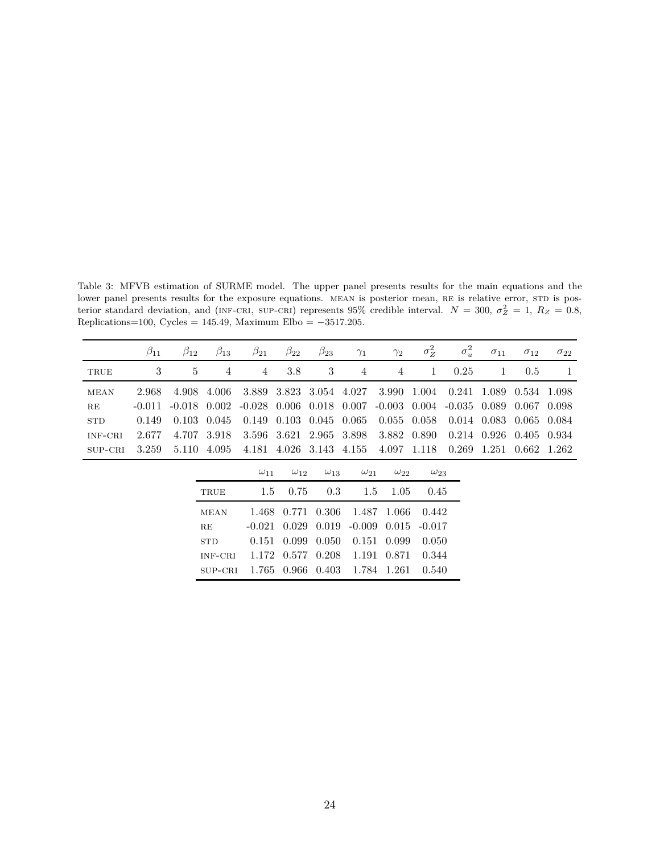<span id="page-23-0"></span>Table 3: MFVB estimation of SURME model. The upper panel presents results for the main equations and the lower panel presents results for the exposure equations. MEAN is posterior mean, RE is relative error, STD is posterior standard deviation, and (INF-CRI, SUP-CRI) represents 95% credible interval.  $N = 300$ ,  $\sigma_Z^2 = 1$ ,  $R_Z = 0.8$ , Replications=100, Cycles = 145*.*49, Maximum Elbo = −3517*.*205.

|             | $\beta_{11}$ | $\beta_{12}$ | $\beta_{13}$        | $\beta_{21}$                                                                        | $\beta_{22}$  | $\beta_{23}$ | $\gamma_1$ | $\gamma_2$                                                                      | $\sigma^2$                       |      | $\sigma_u^2$ $\sigma_{11}$ $\sigma_{12}$ |     | $\sigma_{22}$  |
|-------------|--------------|--------------|---------------------|-------------------------------------------------------------------------------------|---------------|--------------|------------|---------------------------------------------------------------------------------|----------------------------------|------|------------------------------------------|-----|----------------|
| TRUE        |              | 5.           | $\overline{4}$      |                                                                                     | $4 \quad 3.8$ | 3            | 4          |                                                                                 | $\overline{4}$<br>$\overline{1}$ | 0.25 |                                          | 0.5 | $\overline{1}$ |
| <b>MEAN</b> | 2.968        |              |                     | 4.908 4.006 3.889 3.823 3.054 4.027 3.990 1.004 0.241 1.089 0.534 1.098             |               |              |            |                                                                                 |                                  |      |                                          |     |                |
| RE          | $-0.011$     |              |                     | $-0.018$ 0.002 $-0.028$ 0.006 0.018 0.007 $-0.003$ 0.004 $-0.035$ 0.089 0.067 0.098 |               |              |            |                                                                                 |                                  |      |                                          |     |                |
| <b>STD</b>  | 0.149        |              | $0.103 \quad 0.045$ |                                                                                     |               |              |            | $0.149$ $0.103$ $0.045$ $0.065$ $0.055$ $0.058$ $0.014$ $0.083$ $0.065$ $0.084$ |                                  |      |                                          |     |                |
| INF-CRI     | 2.677        |              |                     | 4.707 3.918 3.596 3.621 2.965 3.898 3.882 0.890 0.214 0.926 0.405 0.934             |               |              |            |                                                                                 |                                  |      |                                          |     |                |
| SUP-CRI     | 3.259        | 5.110        | 4.095               |                                                                                     |               |              |            | 4.181 4.026 3.143 4.155 4.097 1.118 0.269 1.251 0.662 1.262                     |                                  |      |                                          |     |                |

|             | $\omega_{11}$ | $\omega_{12}$ $\omega_{13}$ | $\omega_{21}$                                      | $\omega_{22}$ | $\omega_{23}$ |
|-------------|---------------|-----------------------------|----------------------------------------------------|---------------|---------------|
| TRUE        |               |                             | $1.5 \t0.75 \t0.3 \t1.5$                           | 1.05          | 0.45          |
| <b>MEAN</b> |               |                             | 1.468 0.771 0.306 1.487 1.066 0.442                |               |               |
| RE          |               |                             | $-0.021$ $0.029$ $0.019$ $-0.009$ $0.015$ $-0.017$ |               |               |
| <b>STD</b>  |               |                             | $0.151$ $0.099$ $0.050$ $0.151$ $0.099$            |               | 0.050         |
| INF-CRI     |               |                             | 1.172 0.577 0.208 1.191 0.871 0.344                |               |               |
| SUP-CRI     |               |                             | 1.765 0.966 0.403 1.784 1.261                      |               | 0.540         |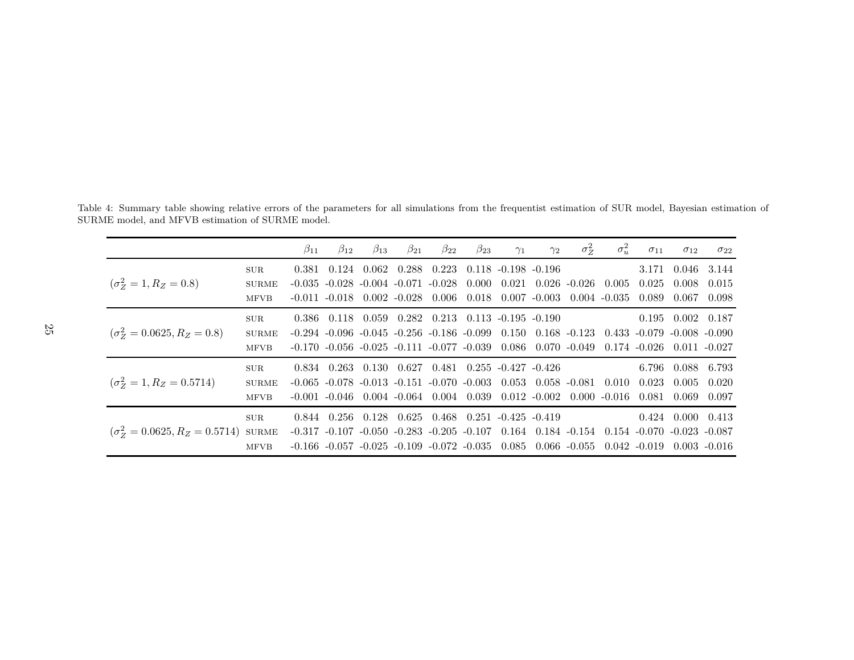<span id="page-24-0"></span>

|                                       |              | $\beta_{11}$ | $\beta_{12}$                                                      | $\beta_{13}$ | $\beta_{21}$                                              | $\beta_{22}$ | $\beta_{23}$ | $\gamma_1$              | $\gamma_2$      | $\sigma_Z^2$             | $\sigma_u^2$    | $\sigma_{11}$                   | $\sigma_{12}$           | $\sigma_{22}$   |
|---------------------------------------|--------------|--------------|-------------------------------------------------------------------|--------------|-----------------------------------------------------------|--------------|--------------|-------------------------|-----------------|--------------------------|-----------------|---------------------------------|-------------------------|-----------------|
|                                       | <b>SUR</b>   | 0.381        |                                                                   |              | $0.124$ $0.062$ $0.288$ $0.223$                           |              |              | $0.118 - 0.198 - 0.196$ |                 |                          |                 | 3.171                           | 0.046                   | 3.144           |
| $(\sigma_Z^2 = 1, R_Z = 0.8)$         | <b>SURME</b> |              | $-0.035$ $-0.028$ $-0.004$ $-0.071$ $-0.028$                      |              |                                                           |              | 0.000        | 0.021                   |                 | $0.026$ -0.026           | 0.005           | 0.025                           | 0.008                   | 0.015           |
|                                       | <b>MFVB</b>  |              | $-0.011$ $-0.018$ $0.002$ $-0.028$                                |              |                                                           | 0.006        | 0.018        |                         | $0.007 - 0.003$ |                          | $0.004 - 0.035$ | 0.089                           | 0.067                   | 0.098           |
|                                       | <b>SUR</b>   | 0.386        |                                                                   |              | $0.118$ $0.059$ $0.282$ $0.213$ $0.113$ $-0.195$ $-0.190$ |              |              |                         |                 |                          |                 |                                 | $0.195$ $0.002$ $0.187$ |                 |
| $(\sigma_Z^2 = 0.0625, R_Z = 0.8)$    | <b>SURME</b> |              | $-0.294$ $-0.096$ $-0.045$ $-0.256$ $-0.186$ $-0.099$             |              |                                                           |              |              |                         |                 | $0.150$ $0.168$ $-0.123$ |                 | $0.433 - 0.079 - 0.008 - 0.090$ |                         |                 |
|                                       | <b>MFVB</b>  |              | $-0.170$ $-0.056$ $-0.025$ $-0.111$ $-0.077$ $-0.039$             |              |                                                           |              |              | 0.086                   |                 | $0.070$ -0.049           |                 | $0.174$ -0.026                  |                         | $0.011 - 0.027$ |
|                                       | <b>SUR</b>   | 0.834        | 0.263                                                             | 0.130        | 0.627                                                     | 0.481        |              | $0.255 - 0.427 - 0.426$ |                 |                          |                 | 6.796                           | 0.088                   | 6.793           |
| $(\sigma_Z^2 = 1, R_Z = 0.5714)$      | <b>SURME</b> |              | $-0.065$ $-0.078$ $-0.013$ $-0.151$ $-0.070$ $-0.003$             |              |                                                           |              |              | 0.053                   |                 | $0.058 - 0.081$          | 0.010           | 0.023                           | 0.005                   | 0.020           |
|                                       | <b>MFVB</b>  |              | $-0.001 - 0.046$                                                  |              | $0.004$ -0.064                                            | 0.004        | 0.039        |                         | $0.012 - 0.002$ |                          | $0.000 - 0.016$ | 0.081                           | 0.069                   | 0.097           |
|                                       | <b>SUR</b>   |              | $0.844$ $0.256$ $0.128$ $0.625$ $0.468$ $0.251$ $-0.425$ $-0.419$ |              |                                                           |              |              |                         |                 |                          |                 | 0.424                           | 0.000                   | 0.413           |
| $(\sigma_Z^2 = 0.0625, R_Z = 0.5714)$ | SURME        |              | $-0.317$ $-0.107$ $-0.050$ $-0.283$ $-0.205$ $-0.107$             |              |                                                           |              |              | 0.164                   |                 | $0.184 - 0.154$          |                 | $0.154 - 0.070 - 0.023 - 0.087$ |                         |                 |
|                                       | <b>MFVB</b>  |              | $-0.166$ $-0.057$ $-0.025$ $-0.109$ $-0.072$ $-0.035$ $0.085$     |              |                                                           |              |              |                         |                 | $0.066$ - $0.055$        |                 | $0.042 - 0.019$                 |                         | 0.003 -0.016    |

Table 4: Summary table showing relative errors of the parameters for all simulations from the frequentist estimation of SUR model, Bayesian estimation of SURME model, and MFVB estimation of SURME model.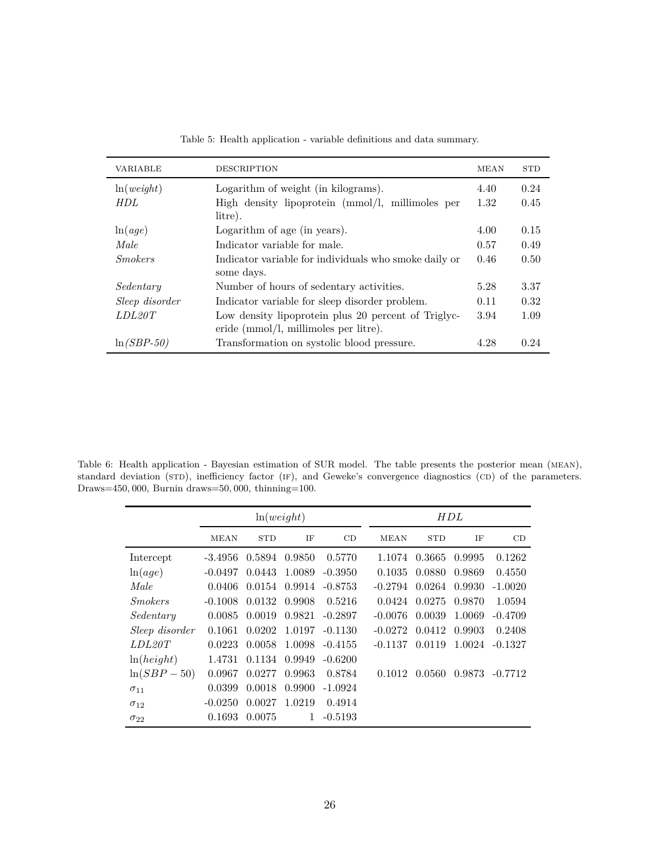<span id="page-25-0"></span>

| VARIABLE       | <b>DESCRIPTION</b>                                                                                     | MEAN | <b>STD</b> |
|----------------|--------------------------------------------------------------------------------------------------------|------|------------|
| ln(weight)     | Logarithm of weight (in kilograms).                                                                    | 4.40 | 0.24       |
| HDL            | High density lipoprotein (mmol/l, millimoles per<br>litre).                                            | 1.32 | 0.45       |
| ln(age)        | Logarithm of age (in years).                                                                           | 4.00 | 0.15       |
| Male           | Indicator variable for male.                                                                           | 0.57 | 0.49       |
| <i>Smokers</i> | Indicator variable for individuals who smoke daily or<br>some days.                                    | 0.46 | 0.50       |
| Sedentary      | Number of hours of sedentary activities.                                                               | 5.28 | 3.37       |
| Sleep disorder | Indicator variable for sleep disorder problem.                                                         | 0.11 | 0.32       |
| LDL20T         | Low density lipoprotein plus 20 percent of Triglyc-<br>eride $\text{(mmol/l, millimoles per litre)}$ . | 3.94 | 1.09       |
| $\ln(SBP-50)$  | Transformation on systolic blood pressure.                                                             | 4.28 | 0.24       |

Table 5: Health application - variable definitions and data summary.

<span id="page-25-1"></span>Table 6: Health application - Bayesian estimation of SUR model. The table presents the posterior mean (mean), standard deviation (STD), inefficiency factor (IF), and Geweke's convergence diagnostics (CD) of the parameters. Draws=450*,* 000, Burnin draws=50*,* 000, thinning=100.

|                |             | ln(weight) |        |           |             | H D L      |        |           |  |  |  |
|----------------|-------------|------------|--------|-----------|-------------|------------|--------|-----------|--|--|--|
|                | <b>MEAN</b> | <b>STD</b> | IF     | CD        | <b>MEAN</b> | <b>STD</b> | IF     | CD        |  |  |  |
| Intercept      | $-3.4956$   | 0.5894     | 0.9850 | 0.5770    | 1.1074      | 0.3665     | 0.9995 | 0.1262    |  |  |  |
| ln(age)        | $-0.0497$   | 0.0443     | 1.0089 | $-0.3950$ | 0.1035      | 0.0880     | 0.9869 | 0.4550    |  |  |  |
| Male           | 0.0406      | 0.0154     | 0.9914 | $-0.8753$ | $-0.2794$   | 0.0264     | 0.9930 | $-1.0020$ |  |  |  |
| <i>Smokers</i> | $-0.1008$   | 0.0132     | 0.9908 | 0.5216    | 0.0424      | 0.0275     | 0.9870 | 1.0594    |  |  |  |
| Sedentary      | 0.0085      | 0.0019     | 0.9821 | $-0.2897$ | $-0.0076$   | 0.0039     | 1.0069 | $-0.4709$ |  |  |  |
| Sleep disorder | 0.1061      | 0.0202     | 1.0197 | $-0.1130$ | $-0.0272$   | 0.0412     | 0.9903 | 0.2408    |  |  |  |
| LDL20T         | 0.0223      | 0.0058     | 1.0098 | $-0.4155$ | $-0.1137$   | 0.0119     | 1.0024 | $-0.1327$ |  |  |  |
| ln(height)     | 1.4731      | 0.1134     | 0.9949 | $-0.6200$ |             |            |        |           |  |  |  |
| $ln(SBP-50)$   | 0.0967      | 0.0277     | 0.9963 | 0.8784    | 0.1012      | 0.0560     | 0.9873 | $-0.7712$ |  |  |  |
| $\sigma_{11}$  | 0.0399      | 0.0018     | 0.9900 | $-1.0924$ |             |            |        |           |  |  |  |
| $\sigma_{12}$  | $-0.0250$   | 0.0027     | 1.0219 | 0.4914    |             |            |        |           |  |  |  |
| $\sigma_{22}$  | 0.1693      | 0.0075     | 1      | $-0.5193$ |             |            |        |           |  |  |  |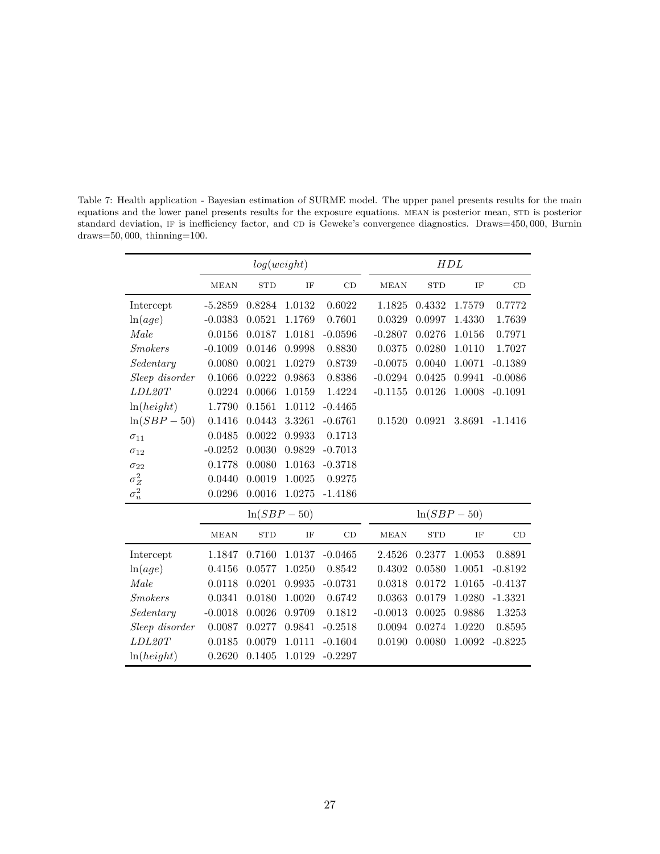<span id="page-26-0"></span>Table 7: Health application - Bayesian estimation of SURME model. The upper panel presents results for the main equations and the lower panel presents results for the exposure equations. MEAN is posterior mean, STD is posterior standard deviation, IF is inefficiency factor, and CD is Geweke's convergence diagnostics. Draws=450,000, Burnin draws=50*,* 000, thinning=100.

|                |             | log(weight)  |        |                   |             |              | HDL    |           |
|----------------|-------------|--------------|--------|-------------------|-------------|--------------|--------|-----------|
|                | <b>MEAN</b> | <b>STD</b>   | IF     | CD                | <b>MEAN</b> | <b>STD</b>   | IF     | CD        |
| Intercept      | $-5.2859$   | 0.8284       | 1.0132 | 0.6022            | 1.1825      | 0.4332       | 1.7579 | 0.7772    |
| ln(age)        | $-0.0383$   | 0.0521       | 1.1769 | 0.7601            | 0.0329      | 0.0997       | 1.4330 | 1.7639    |
| Male           | 0.0156      | 0.0187       | 1.0181 | $-0.0596$         | $-0.2807$   | 0.0276       | 1.0156 | 0.7971    |
| <b>Smokers</b> | $-0.1009$   | 0.0146       | 0.9998 | 0.8830            | 0.0375      | 0.0280       | 1.0110 | 1.7027    |
| Sedentary      | 0.0080      | 0.0021       | 1.0279 | 0.8739            | $-0.0075$   | 0.0040       | 1.0071 | $-0.1389$ |
| Sleep disorder | 0.1066      | 0.0222       | 0.9863 | 0.8386            | $-0.0294$   | 0.0425       | 0.9941 | $-0.0086$ |
| LDL20T         | 0.0224      | 0.0066       | 1.0159 | 1.4224            | $-0.1155$   | 0.0126       | 1.0008 | $-0.1091$ |
| ln(height)     | 1.7790      | 0.1561       | 1.0112 | $-0.4465$         |             |              |        |           |
| $ln(SBP-50)$   | 0.1416      | 0.0443       | 3.3261 | $-0.6761$         | 0.1520      | 0.0921       | 3.8691 | $-1.1416$ |
| $\sigma_{11}$  | 0.0485      | 0.0022       | 0.9933 | 0.1713            |             |              |        |           |
| $\sigma_{12}$  | $-0.0252$   | 0.0030       | 0.9829 | $-0.7013$         |             |              |        |           |
| $\sigma_{22}$  | 0.1778      | 0.0080       | 1.0163 | $-0.3718$         |             |              |        |           |
| $\sigma_Z^2$   | 0.0440      | 0.0019       | 1.0025 | 0.9275            |             |              |        |           |
| $\sigma^2_u$   | 0.0296      | 0.0016       | 1.0275 | $-1.4186$         |             |              |        |           |
|                |             | $ln(SBP-50)$ |        |                   |             | $ln(SBP-50)$ |        |           |
|                | <b>MEAN</b> | <b>STD</b>   | IF     | $\mathop{\rm CD}$ | <b>MEAN</b> | <b>STD</b>   | IF     | CD        |
| Intercept      | 1.1847      | 0.7160       | 1.0137 | $-0.0465$         | 2.4526      | 0.2377       | 1.0053 | 0.8891    |
| ln(age)        | 0.4156      | 0.0577       | 1.0250 | 0.8542            | 0.4302      | 0.0580       | 1.0051 | $-0.8192$ |
| Male           | 0.0118      | 0.0201       | 0.9935 | $-0.0731$         | 0.0318      | 0.0172       | 1.0165 | $-0.4137$ |
| <b>Smokers</b> | 0.0341      | 0.0180       | 1.0020 | 0.6742            | 0.0363      | 0.0179       | 1.0280 | $-1.3321$ |
| Sedentary      | $-0.0018$   | 0.0026       | 0.9709 | 0.1812            | $-0.0013$   | 0.0025       | 0.9886 | 1.3253    |
| Sleep disorder | 0.0087      | 0.0277       | 0.9841 | $-0.2518$         | 0.0094      | 0.0274       | 1.0220 | 0.8595    |
| LDL20T         | 0.0185      | 0.0079       | 1.0111 | $-0.1604$         | 0.0190      | 0.0080       | 1.0092 | $-0.8225$ |
| ln(height)     | 0.2620      | 0.1405       | 1.0129 | $-0.2297$         |             |              |        |           |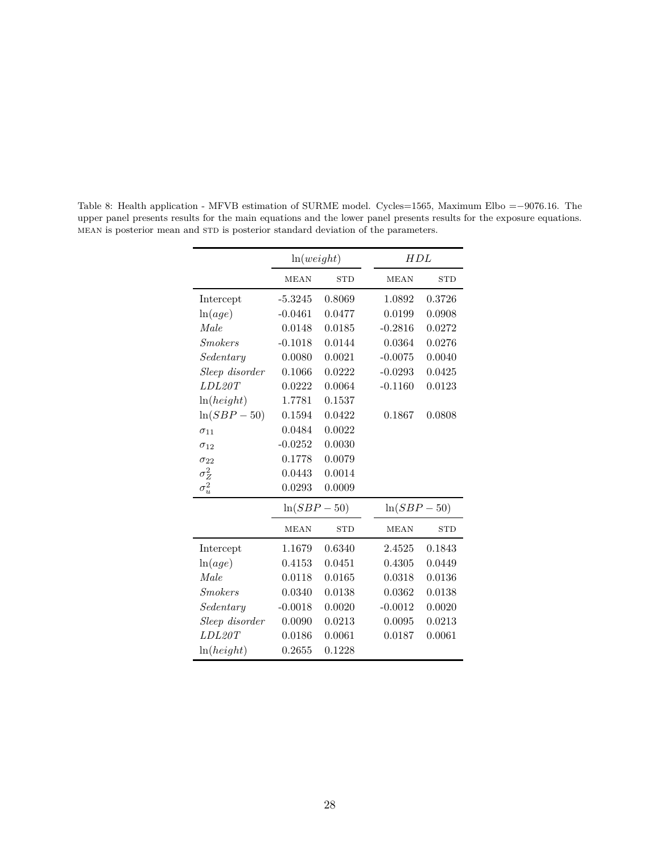|                | ln(weight)   |            | HDL          |            |
|----------------|--------------|------------|--------------|------------|
|                | <b>MEAN</b>  | <b>STD</b> | <b>MEAN</b>  | <b>STD</b> |
| Intercept      | $-5.3245$    | 0.8069     | 1.0892       | 0.3726     |
| ln(age)        | $-0.0461$    | 0.0477     | 0.0199       | 0.0908     |
| Male           | 0.0148       | 0.0185     | $-0.2816$    | 0.0272     |
| <b>Smokers</b> | $-0.1018$    | 0.0144     | 0.0364       | 0.0276     |
| Sedentary      | 0.0080       | 0.0021     | $-0.0075$    | 0.0040     |
| Sleep disorder | 0.1066       | 0.0222     | $-0.0293$    | 0.0425     |
| LDL20T         | 0.0222       | 0.0064     | $-0.1160$    | 0.0123     |
| ln(height)     | 1.7781       | 0.1537     |              |            |
| $ln(SBP-50)$   | 0.1594       | 0.0422     | 0.1867       | 0.0808     |
| $\sigma_{11}$  | 0.0484       | 0.0022     |              |            |
| $\sigma_{12}$  | $-0.0252$    | 0.0030     |              |            |
| $\sigma_{22}$  | 0.1778       | 0.0079     |              |            |
| $\sigma_Z^2$   | 0.0443       | 0.0014     |              |            |
| $\sigma_u^2$   | 0.0293       | 0.0009     |              |            |
|                | $ln(SBP-50)$ |            | $ln(SBP-50)$ |            |
|                | <b>MEAN</b>  | <b>STD</b> | <b>MEAN</b>  | <b>STD</b> |
| Intercept      | 1.1679       | 0.6340     | 2.4525       | 0.1843     |
| ln(age)        | 0.4153       | 0.0451     | 0.4305       | 0.0449     |
| Male           | 0.0118       | 0.0165     | 0.0318       | 0.0136     |
| <b>Smokers</b> | 0.0340       | 0.0138     | 0.0362       | 0.0138     |
| Sedentary      | $-0.0018$    | 0.0020     | $-0.0012$    | 0.0020     |
| Sleep disorder | 0.0090       | 0.0213     | 0.0095       | 0.0213     |
| LDL20T         | 0.0186       | 0.0061     | 0.0187       | 0.0061     |
| ln(height)     | 0.2655       | 0.1228     |              |            |

<span id="page-27-0"></span>Table 8: Health application - MFVB estimation of SURME model. Cycles=1565, Maximum Elbo =−9076*.*16. The upper panel presents results for the main equations and the lower panel presents results for the exposure equations.  $\,$  MEAN is posterior mean and STD is posterior standard deviation of the parameters.